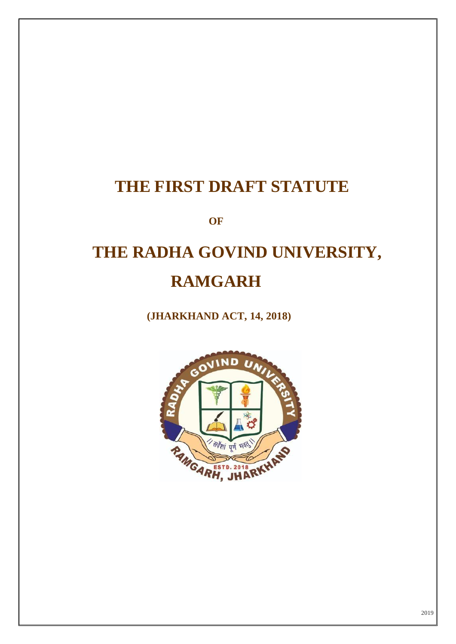# **THE FIRST DRAFT STATUTE**

**OF**

# **THE RADHA GOVIND UNIVERSITY, RAMGARH**

 **(JHARKHAND ACT, 14, 2018)**

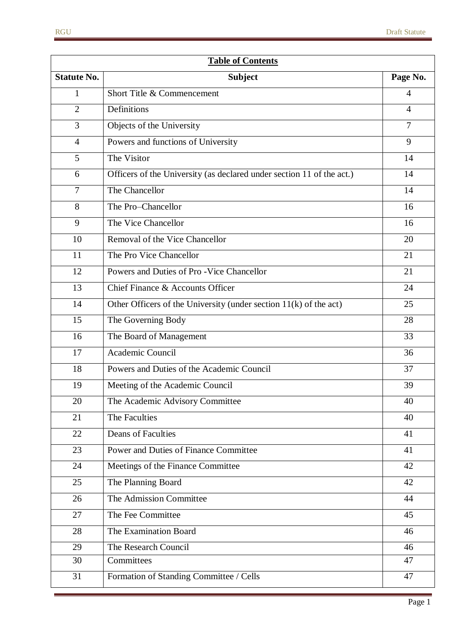| <b>Table of Contents</b> |                                                                       |                |
|--------------------------|-----------------------------------------------------------------------|----------------|
| <b>Statute No.</b>       | <b>Subject</b>                                                        | Page No.       |
| 1                        | Short Title & Commencement                                            | 4              |
| $\overline{2}$           | Definitions                                                           | 4              |
| 3                        | Objects of the University                                             | $\overline{7}$ |
| $\overline{4}$           | Powers and functions of University                                    | 9              |
| 5                        | The Visitor                                                           | 14             |
| 6                        | Officers of the University (as declared under section 11 of the act.) | 14             |
| $\overline{7}$           | The Chancellor                                                        | 14             |
| 8                        | The Pro-Chancellor                                                    | 16             |
| 9                        | The Vice Chancellor                                                   | 16             |
| 10                       | Removal of the Vice Chancellor                                        | 20             |
| 11                       | The Pro Vice Chancellor                                               | 21             |
| 12                       | Powers and Duties of Pro - Vice Chancellor                            | 21             |
| 13                       | Chief Finance & Accounts Officer                                      | 24             |
| 14                       | Other Officers of the University (under section $11(k)$ of the act)   | 25             |
| 15                       | The Governing Body                                                    | 28             |
| 16                       | The Board of Management                                               | 33             |
| 17                       | Academic Council                                                      | 36             |
| 18                       | Powers and Duties of the Academic Council                             | 37             |
| 19                       | Meeting of the Academic Council                                       | 39             |
| 20                       | The Academic Advisory Committee                                       | 40             |
| 21                       | The Faculties                                                         | 40             |
| 22                       | <b>Deans of Faculties</b>                                             | 41             |
| 23                       | <b>Power and Duties of Finance Committee</b>                          | 41             |
| 24                       | Meetings of the Finance Committee                                     | 42             |
| 25                       | The Planning Board                                                    | 42             |
| 26                       | The Admission Committee                                               | 44             |
| 27                       | The Fee Committee                                                     | 45             |
| 28                       | The Examination Board                                                 | 46             |
| 29                       | The Research Council                                                  | 46             |
| 30                       | Committees                                                            | 47             |
| 31                       | Formation of Standing Committee / Cells                               | 47             |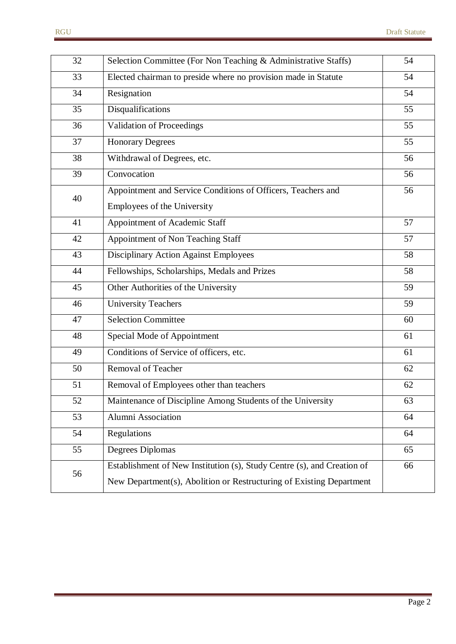| 32 | Selection Committee (For Non Teaching & Administrative Staffs)          | 54 |
|----|-------------------------------------------------------------------------|----|
| 33 | Elected chairman to preside where no provision made in Statute          | 54 |
| 34 | Resignation                                                             | 54 |
| 35 | Disqualifications                                                       | 55 |
| 36 | <b>Validation of Proceedings</b>                                        | 55 |
| 37 | <b>Honorary Degrees</b>                                                 | 55 |
| 38 | Withdrawal of Degrees, etc.                                             | 56 |
| 39 | Convocation                                                             | 56 |
| 40 | Appointment and Service Conditions of Officers, Teachers and            | 56 |
|    | Employees of the University                                             |    |
| 41 | Appointment of Academic Staff                                           | 57 |
| 42 | Appointment of Non Teaching Staff                                       | 57 |
| 43 | <b>Disciplinary Action Against Employees</b>                            | 58 |
| 44 | Fellowships, Scholarships, Medals and Prizes                            | 58 |
| 45 | Other Authorities of the University                                     | 59 |
| 46 | <b>University Teachers</b>                                              | 59 |
| 47 | <b>Selection Committee</b>                                              | 60 |
| 48 | Special Mode of Appointment                                             | 61 |
| 49 | Conditions of Service of officers, etc.                                 | 61 |
| 50 | <b>Removal of Teacher</b>                                               | 62 |
| 51 | Removal of Employees other than teachers                                | 62 |
| 52 | Maintenance of Discipline Among Students of the University              | 63 |
| 53 | Alumni Association                                                      | 64 |
| 54 | Regulations                                                             | 64 |
| 55 | Degrees Diplomas                                                        | 65 |
| 56 | Establishment of New Institution (s), Study Centre (s), and Creation of | 66 |
|    | New Department(s), Abolition or Restructuring of Existing Department    |    |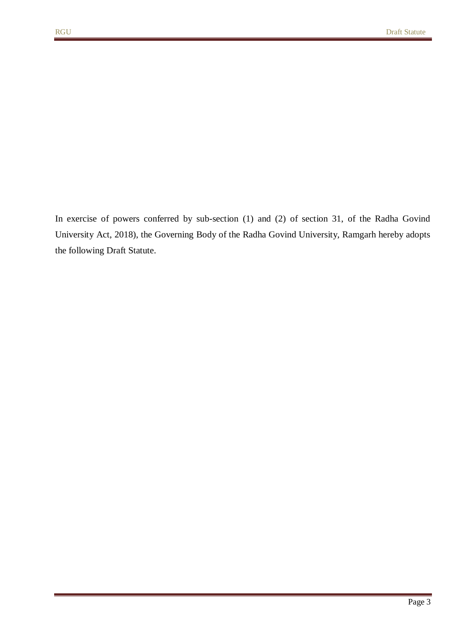In exercise of powers conferred by sub-section (1) and (2) of section 31, of the Radha Govind University Act, 2018), the Governing Body of the Radha Govind University, Ramgarh hereby adopts the following Draft Statute.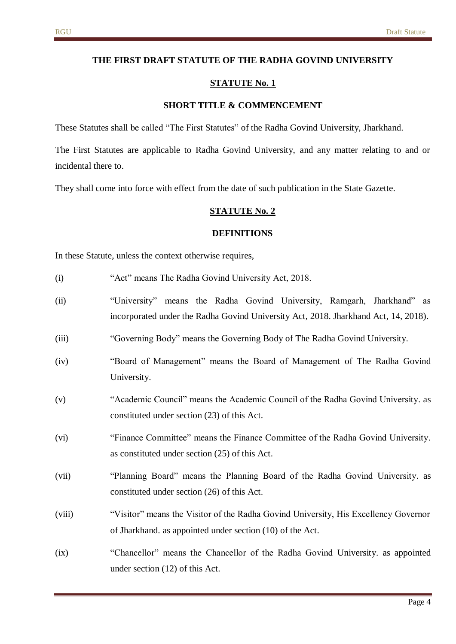#### **THE FIRST DRAFT STATUTE OF THE RADHA GOVIND UNIVERSITY**

#### **STATUTE No. 1**

#### **SHORT TITLE & COMMENCEMENT**

These Statutes shall be called "The First Statutes" of the Radha Govind University, Jharkhand.

The First Statutes are applicable to Radha Govind University, and any matter relating to and or incidental there to.

They shall come into force with effect from the date of such publication in the State Gazette.

#### **STATUTE No. 2**

#### **DEFINITIONS**

In these Statute, unless the context otherwise requires,

- (i) "Act" means The Radha Govind University Act, 2018.
- (ii) "University" means the Radha Govind University, Ramgarh, Jharkhand" as incorporated under the Radha Govind University Act, 2018. Jharkhand Act, 14, 2018).
- (iii) "Governing Body" means the Governing Body of The Radha Govind University.
- (iv) "Board of Management" means the Board of Management of The Radha Govind University.
- (v) "Academic Council" means the Academic Council of the Radha Govind University. as constituted under section (23) of this Act.
- (vi) "Finance Committee" means the Finance Committee of the Radha Govind University. as constituted under section (25) of this Act.
- (vii) "Planning Board" means the Planning Board of the Radha Govind University. as constituted under section (26) of this Act.
- (viii) "Visitor" means the Visitor of the Radha Govind University, His Excellency Governor of Jharkhand. as appointed under section (10) of the Act.
- (ix) "Chancellor" means the Chancellor of the Radha Govind University. as appointed under section (12) of this Act.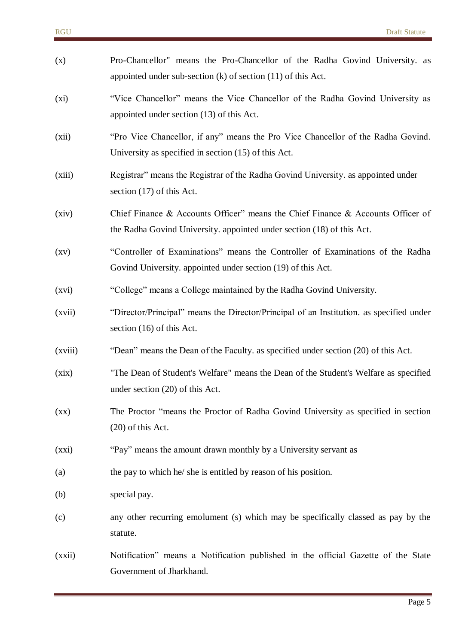| (x)                | Pro-Chancellor" means the Pro-Chancellor of the Radha Govind University. as<br>appointed under sub-section $(k)$ of section $(11)$ of this Act.           |
|--------------------|-----------------------------------------------------------------------------------------------------------------------------------------------------------|
| (xi)               | "Vice Chancellor" means the Vice Chancellor of the Radha Govind University as<br>appointed under section (13) of this Act.                                |
| (xii)              | "Pro Vice Chancellor, if any" means the Pro Vice Chancellor of the Radha Govind.<br>University as specified in section (15) of this Act.                  |
| (xiii)             | Registrar" means the Registrar of the Radha Govind University. as appointed under<br>section (17) of this Act.                                            |
| (xiv)              | Chief Finance & Accounts Officer" means the Chief Finance & Accounts Officer of<br>the Radha Govind University. appointed under section (18) of this Act. |
| $\left( xy\right)$ | "Controller of Examinations" means the Controller of Examinations of the Radha<br>Govind University. appointed under section (19) of this Act.            |
| (xvi)              | "College" means a College maintained by the Radha Govind University.                                                                                      |
| (xvii)             | "Director/Principal" means the Director/Principal of an Institution. as specified under<br>section (16) of this Act.                                      |
| (xviii)            | "Dean" means the Dean of the Faculty. as specified under section (20) of this Act.                                                                        |
| (xix)              | "The Dean of Student's Welfare" means the Dean of the Student's Welfare as specified<br>under section (20) of this Act.                                   |
| $\left( xx\right)$ | The Proctor "means the Proctor of Radha Govind University as specified in section<br>$(20)$ of this Act.                                                  |
| (xxi)              | "Pay" means the amount drawn monthly by a University servant as                                                                                           |
| (a)                | the pay to which he/ she is entitled by reason of his position.                                                                                           |
| (b)                | special pay.                                                                                                                                              |
| (c)                | any other recurring emolument (s) which may be specifically classed as pay by the<br>statute.                                                             |
| (xxii)             | Notification" means a Notification published in the official Gazette of the State<br>Government of Jharkhand.                                             |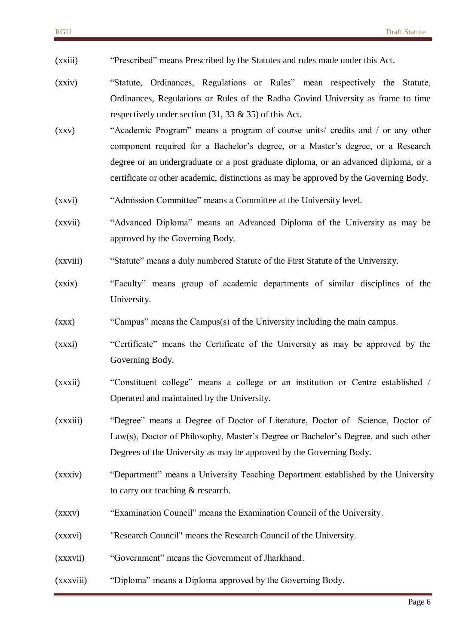- (xxiii) "Prescribed" means Prescribed by the Statutes and rules made under this Act.
- (xxiv) "Statute, Ordinances, Regulations or Rules" mean respectively the Statute, Ordinances, Regulations or Rules of the Radha Govind University as frame to time respectively under section  $(31, 33 \& 35)$  of this Act.
- (xxv) "Academic Program" means a program of course units/ credits and / or any other component required for a Bachelor's degree, or a Master's degree, or a Research degree or an undergraduate or a post graduate diploma, or an advanced diploma, or a certificate or other academic, distinctions as may be approved by the Governing Body.
- (xxvi) "Admission Committee" means a Committee at the University level.
- (xxvii) "Advanced Diploma" means an Advanced Diploma of the University as may be approved by the Governing Body.
- (xxviii) "Statute" means a duly numbered Statute of the First Statute of the University.
- (xxix) "Faculty" means group of academic departments of similar disciplines of the University.
- (xxx) "Campus" means the Campus(s) of the University including the main campus.
- (xxxi) "Certificate" means the Certificate of the University as may be approved by the Governing Body.
- (xxxii) "Constituent college" means a college or an institution or Centre established / Operated and maintained by the University.
- (xxxiii) "Degree" means a Degree of Doctor of Literature, Doctor of Science, Doctor of Law(s), Doctor of Philosophy, Master's Degree or Bachelor's Degree, and such other Degrees of the University as may be approved by the Governing Body.
- (xxxiv) "Department" means a University Teaching Department established by the University to carry out teaching & research.
- (xxxv) "Examination Council" means the Examination Council of the University.
- (xxxvi) "Research Council" means the Research Council of the University.
- (xxxvii) "Government" means the Government of Jharkhand.
- (xxxviii) "Diploma" means a Diploma approved by the Governing Body.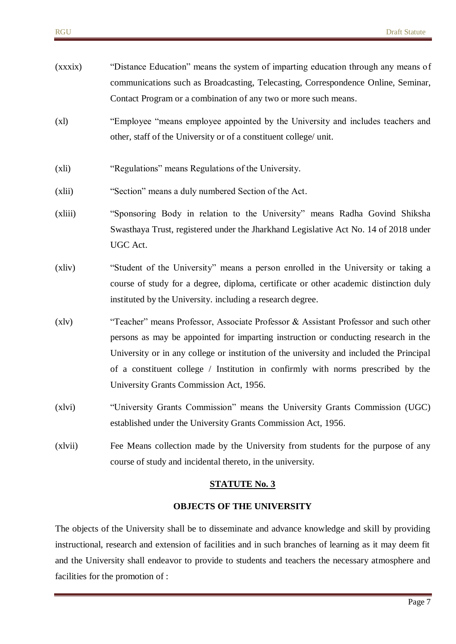| (xxxix) | "Distance Education" means the system of imparting education through any means of<br>communications such as Broadcasting, Telecasting, Correspondence Online, Seminar,<br>Contact Program or a combination of any two or more such means.                                                                                                                                                             |
|---------|-------------------------------------------------------------------------------------------------------------------------------------------------------------------------------------------------------------------------------------------------------------------------------------------------------------------------------------------------------------------------------------------------------|
| (x)     | "Employee "means employee appointed by the University and includes teachers and<br>other, staff of the University or of a constituent college/ unit.                                                                                                                                                                                                                                                  |
| (xli)   | "Regulations" means Regulations of the University.                                                                                                                                                                                                                                                                                                                                                    |
| (xli)   | "Section" means a duly numbered Section of the Act.                                                                                                                                                                                                                                                                                                                                                   |
| (xliii) | "Sponsoring Body in relation to the University" means Radha Govind Shiksha<br>Swasthaya Trust, registered under the Jharkhand Legislative Act No. 14 of 2018 under<br>UGC Act.                                                                                                                                                                                                                        |
| (xliv)  | "Student of the University" means a person enrolled in the University or taking a<br>course of study for a degree, diploma, certificate or other academic distinction duly<br>instituted by the University. including a research degree.                                                                                                                                                              |
| (x v)   | "Teacher" means Professor, Associate Professor & Assistant Professor and such other<br>persons as may be appointed for imparting instruction or conducting research in the<br>University or in any college or institution of the university and included the Principal<br>of a constituent college / Institution in confirmly with norms prescribed by the<br>University Grants Commission Act, 1956. |
| (x vi)  | "University Grants Commission" means the University Grants Commission (UGC)<br>established under the University Grants Commission Act, 1956.                                                                                                                                                                                                                                                          |
| (xlvii) | Fee Means collection made by the University from students for the purpose of any<br>course of study and incidental thereto, in the university.                                                                                                                                                                                                                                                        |

### **OBJECTS OF THE UNIVERSITY**

The objects of the University shall be to disseminate and advance knowledge and skill by providing instructional, research and extension of facilities and in such branches of learning as it may deem fit and the University shall endeavor to provide to students and teachers the necessary atmosphere and facilities for the promotion of :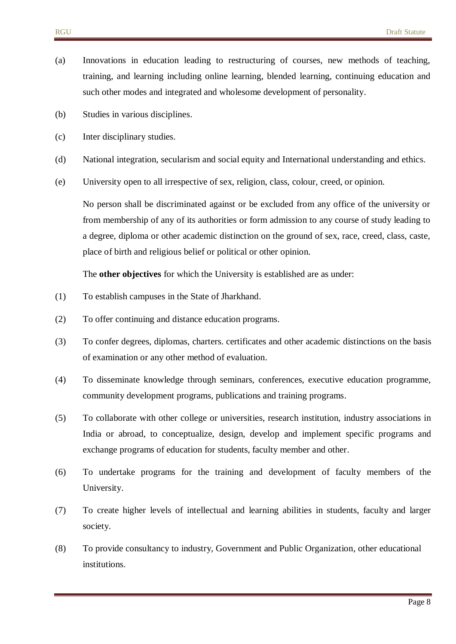- (a) Innovations in education leading to restructuring of courses, new methods of teaching, training, and learning including online learning, blended learning, continuing education and such other modes and integrated and wholesome development of personality.
- (b) Studies in various disciplines.
- (c) Inter disciplinary studies.
- (d) National integration, secularism and social equity and International understanding and ethics.
- (e) University open to all irrespective of sex, religion, class, colour, creed, or opinion.

No person shall be discriminated against or be excluded from any office of the university or from membership of any of its authorities or form admission to any course of study leading to a degree, diploma or other academic distinction on the ground of sex, race, creed, class, caste, place of birth and religious belief or political or other opinion.

The **other objectives** for which the University is established are as under:

- (1) To establish campuses in the State of Jharkhand.
- (2) To offer continuing and distance education programs.
- (3) To confer degrees, diplomas, charters. certificates and other academic distinctions on the basis of examination or any other method of evaluation.
- (4) To disseminate knowledge through seminars, conferences, executive education programme, community development programs, publications and training programs.
- (5) To collaborate with other college or universities, research institution, industry associations in India or abroad, to conceptualize, design, develop and implement specific programs and exchange programs of education for students, faculty member and other.
- (6) To undertake programs for the training and development of faculty members of the University.
- (7) To create higher levels of intellectual and learning abilities in students, faculty and larger society.
- (8) To provide consultancy to industry, Government and Public Organization, other educational institutions.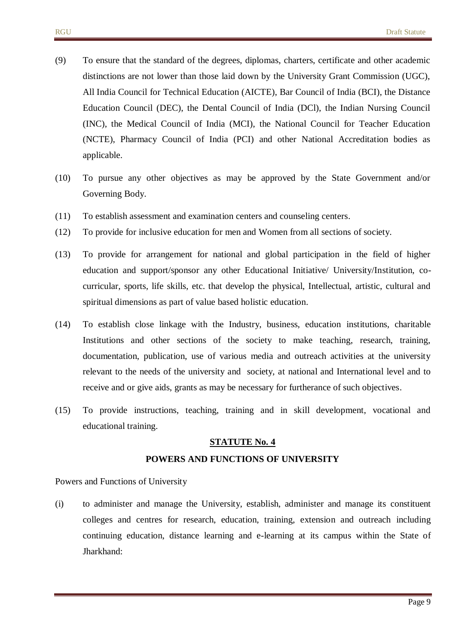- (9) To ensure that the standard of the degrees, diplomas, charters, certificate and other academic distinctions are not lower than those laid down by the University Grant Commission (UGC), All India Council for Technical Education (AICTE), Bar Council of India (BCI), the Distance Education Council (DEC), the Dental Council of India (DCl), the Indian Nursing Council (INC), the Medical Council of India (MCI), the National Council for Teacher Education (NCTE), Pharmacy Council of India (PCI) and other National Accreditation bodies as applicable.
- (10) To pursue any other objectives as may be approved by the State Government and/or Governing Body.
- (11) To establish assessment and examination centers and counseling centers.
- (12) To provide for inclusive education for men and Women from all sections of society.
- (13) To provide for arrangement for national and global participation in the field of higher education and support/sponsor any other Educational Initiative/ University/Institution, cocurricular, sports, life skills, etc. that develop the physical, Intellectual, artistic, cultural and spiritual dimensions as part of value based holistic education.
- (14) To establish close linkage with the Industry, business, education institutions, charitable Institutions and other sections of the society to make teaching, research, training, documentation, publication, use of various media and outreach activities at the university relevant to the needs of the university and society, at national and International level and to receive and or give aids, grants as may be necessary for furtherance of such objectives.
- (15) To provide instructions, teaching, training and in skill development, vocational and educational training.

#### **POWERS AND FUNCTIONS OF UNIVERSITY**

Powers and Functions of University

(i) to administer and manage the University, establish, administer and manage its constituent colleges and centres for research, education, training, extension and outreach including continuing education, distance learning and e-learning at its campus within the State of Jharkhand: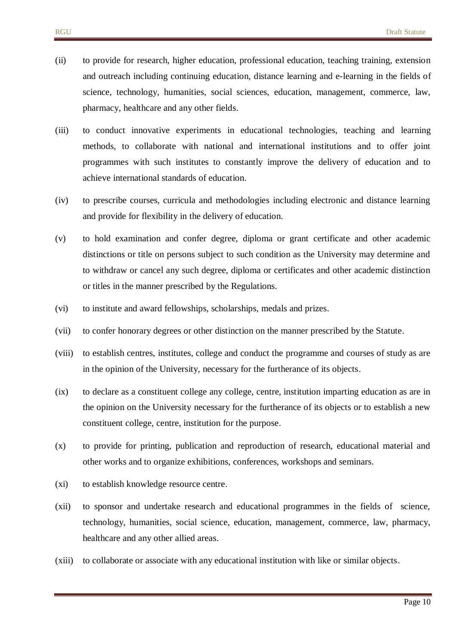- (ii) to provide for research, higher education, professional education, teaching training, extension and outreach including continuing education, distance learning and e-learning in the fields of science, technology, humanities, social sciences, education, management, commerce, law, pharmacy, healthcare and any other fields.
- (iii) to conduct innovative experiments in educational technologies, teaching and learning methods, to collaborate with national and international institutions and to offer joint programmes with such institutes to constantly improve the delivery of education and to achieve international standards of education.
- (iv) to prescribe courses, curricula and methodologies including electronic and distance learning and provide for flexibility in the delivery of education.
- (v) to hold examination and confer degree, diploma or grant certificate and other academic distinctions or title on persons subject to such condition as the University may determine and to withdraw or cancel any such degree, diploma or certificates and other academic distinction or titles in the manner prescribed by the Regulations.
- (vi) to institute and award fellowships, scholarships, medals and prizes.
- (vii) to confer honorary degrees or other distinction on the manner prescribed by the Statute.
- (viii) to establish centres, institutes, college and conduct the programme and courses of study as are in the opinion of the University, necessary for the furtherance of its objects.
- (ix) to declare as a constituent college any college, centre, institution imparting education as are in the opinion on the University necessary for the furtherance of its objects or to establish a new constituent college, centre, institution for the purpose.
- (x) to provide for printing, publication and reproduction of research, educational material and other works and to organize exhibitions, conferences, workshops and seminars.
- (xi) to establish knowledge resource centre.
- (xii) to sponsor and undertake research and educational programmes in the fields of science, technology, humanities, social science, education, management, commerce, law, pharmacy, healthcare and any other allied areas.
- (xiii) to collaborate or associate with any educational institution with like or similar objects.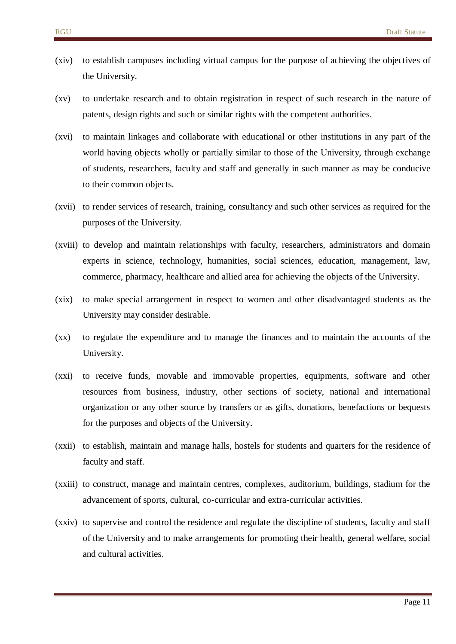- (xiv) to establish campuses including virtual campus for the purpose of achieving the objectives of the University.
- (xv) to undertake research and to obtain registration in respect of such research in the nature of patents, design rights and such or similar rights with the competent authorities.
- (xvi) to maintain linkages and collaborate with educational or other institutions in any part of the world having objects wholly or partially similar to those of the University, through exchange of students, researchers, faculty and staff and generally in such manner as may be conducive to their common objects.
- (xvii) to render services of research, training, consultancy and such other services as required for the purposes of the University.
- (xviii) to develop and maintain relationships with faculty, researchers, administrators and domain experts in science, technology, humanities, social sciences, education, management, law, commerce, pharmacy, healthcare and allied area for achieving the objects of the University.
- (xix) to make special arrangement in respect to women and other disadvantaged students as the University may consider desirable.
- (xx) to regulate the expenditure and to manage the finances and to maintain the accounts of the University.
- (xxi) to receive funds, movable and immovable properties, equipments, software and other resources from business, industry, other sections of society, national and international organization or any other source by transfers or as gifts, donations, benefactions or bequests for the purposes and objects of the University.
- (xxii) to establish, maintain and manage halls, hostels for students and quarters for the residence of faculty and staff.
- (xxiii) to construct, manage and maintain centres, complexes, auditorium, buildings, stadium for the advancement of sports, cultural, co-curricular and extra-curricular activities.
- (xxiv) to supervise and control the residence and regulate the discipline of students, faculty and staff of the University and to make arrangements for promoting their health, general welfare, social and cultural activities.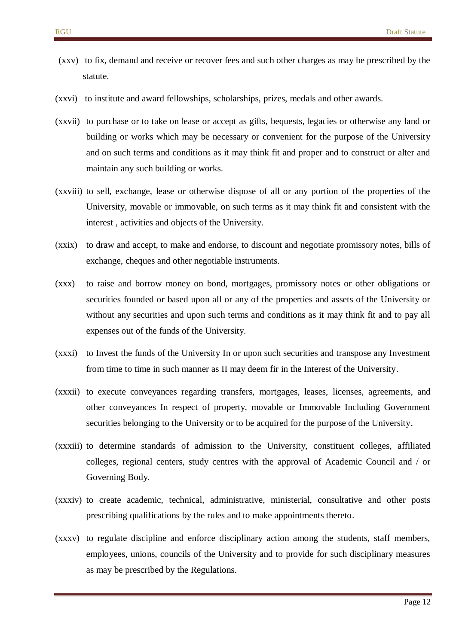- (xxv) to fix, demand and receive or recover fees and such other charges as may be prescribed by the statute.
- (xxvi) to institute and award fellowships, scholarships, prizes, medals and other awards.
- (xxvii) to purchase or to take on lease or accept as gifts, bequests, legacies or otherwise any land or building or works which may be necessary or convenient for the purpose of the University and on such terms and conditions as it may think fit and proper and to construct or alter and maintain any such building or works.
- (xxviii) to sell, exchange, lease or otherwise dispose of all or any portion of the properties of the University, movable or immovable, on such terms as it may think fit and consistent with the interest , activities and objects of the University.
- (xxix) to draw and accept, to make and endorse, to discount and negotiate promissory notes, bills of exchange, cheques and other negotiable instruments.
- (xxx) to raise and borrow money on bond, mortgages, promissory notes or other obligations or securities founded or based upon all or any of the properties and assets of the University or without any securities and upon such terms and conditions as it may think fit and to pay all expenses out of the funds of the University.
- (xxxi) to Invest the funds of the University In or upon such securities and transpose any Investment from time to time in such manner as II may deem fir in the Interest of the University.
- (xxxii) to execute conveyances regarding transfers, mortgages, leases, licenses, agreements, and other conveyances In respect of property, movable or Immovable Including Government securities belonging to the University or to be acquired for the purpose of the University.
- (xxxiii) to determine standards of admission to the University, constituent colleges, affiliated colleges, regional centers, study centres with the approval of Academic Council and / or Governing Body.
- (xxxiv) to create academic, technical, administrative, ministerial, consultative and other posts prescribing qualifications by the rules and to make appointments thereto.
- (xxxv) to regulate discipline and enforce disciplinary action among the students, staff members, employees, unions, councils of the University and to provide for such disciplinary measures as may be prescribed by the Regulations.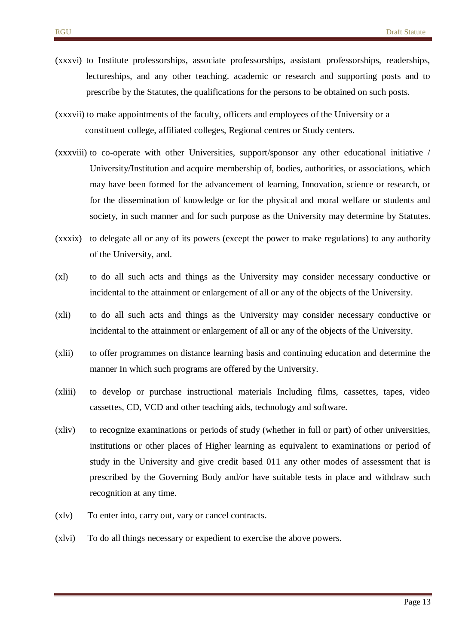- (xxxvi) to Institute professorships, associate professorships, assistant professorships, readerships, lectureships, and any other teaching. academic or research and supporting posts and to prescribe by the Statutes, the qualifications for the persons to be obtained on such posts.
- (xxxvii) to make appointments of the faculty, officers and employees of the University or a constituent college, affiliated colleges, Regional centres or Study centers.
- (xxxviii) to co-operate with other Universities, support/sponsor any other educational initiative / University/Institution and acquire membership of, bodies, authorities, or associations, which may have been formed for the advancement of learning, Innovation, science or research, or for the dissemination of knowledge or for the physical and moral welfare or students and society, in such manner and for such purpose as the University may determine by Statutes.
- (xxxix) to delegate all or any of its powers (except the power to make regulations) to any authority of the University, and.
- (xl) to do all such acts and things as the University may consider necessary conductive or incidental to the attainment or enlargement of all or any of the objects of the University.
- (xli) to do all such acts and things as the University may consider necessary conductive or incidental to the attainment or enlargement of all or any of the objects of the University.
- (xlii) to offer programmes on distance learning basis and continuing education and determine the manner In which such programs are offered by the University.
- (xliii) to develop or purchase instructional materials Including films, cassettes, tapes, video cassettes, CD, VCD and other teaching aids, technology and software.
- (xliv) to recognize examinations or periods of study (whether in full or part) of other universities, institutions or other places of Higher learning as equivalent to examinations or period of study in the University and give credit based 011 any other modes of assessment that is prescribed by the Governing Body and/or have suitable tests in place and withdraw such recognition at any time.
- (xlv) To enter into, carry out, vary or cancel contracts.
- (xlvi) To do all things necessary or expedient to exercise the above powers.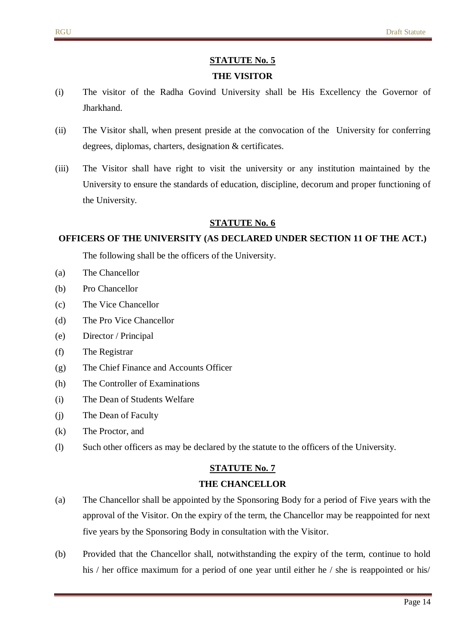#### **THE VISITOR**

- (i) The visitor of the Radha Govind University shall be His Excellency the Governor of **Iharkhand**
- (ii) The Visitor shall, when present preside at the convocation of the University for conferring degrees, diplomas, charters, designation & certificates.
- (iii) The Visitor shall have right to visit the university or any institution maintained by the University to ensure the standards of education, discipline, decorum and proper functioning of the University.

#### **STATUTE No. 6**

#### **OFFICERS OF THE UNIVERSITY (AS DECLARED UNDER SECTION 11 OF THE ACT.)**

The following shall be the officers of the University.

- (a) The Chancellor
- (b) Pro Chancellor
- (c) The Vice Chancellor
- (d) The Pro Vice Chancellor
- (e) Director / Principal
- (f) The Registrar
- (g) The Chief Finance and Accounts Officer
- (h) The Controller of Examinations
- (i) The Dean of Students Welfare
- (j) The Dean of Faculty
- (k) The Proctor, and
- (l) Such other officers as may be declared by the statute to the officers of the University.

#### **STATUTE No. 7**

#### **THE CHANCELLOR**

- (a) The Chancellor shall be appointed by the Sponsoring Body for a period of Five years with the approval of the Visitor. On the expiry of the term, the Chancellor may be reappointed for next five years by the Sponsoring Body in consultation with the Visitor.
- (b) Provided that the Chancellor shall, notwithstanding the expiry of the term, continue to hold his / her office maximum for a period of one year until either he / she is reappointed or his/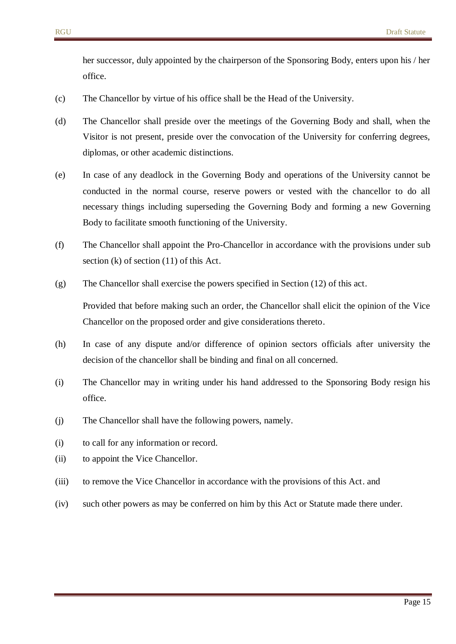her successor, duly appointed by the chairperson of the Sponsoring Body, enters upon his / her office.

- (c) The Chancellor by virtue of his office shall be the Head of the University.
- (d) The Chancellor shall preside over the meetings of the Governing Body and shall, when the Visitor is not present, preside over the convocation of the University for conferring degrees, diplomas, or other academic distinctions.
- (e) In case of any deadlock in the Governing Body and operations of the University cannot be conducted in the normal course, reserve powers or vested with the chancellor to do all necessary things including superseding the Governing Body and forming a new Governing Body to facilitate smooth functioning of the University.
- (f) The Chancellor shall appoint the Pro-Chancellor in accordance with the provisions under sub section (k) of section (11) of this Act.
- (g) The Chancellor shall exercise the powers specified in Section (12) of this act.

Provided that before making such an order, the Chancellor shall elicit the opinion of the Vice Chancellor on the proposed order and give considerations thereto.

- (h) In case of any dispute and/or difference of opinion sectors officials after university the decision of the chancellor shall be binding and final on all concerned.
- (i) The Chancellor may in writing under his hand addressed to the Sponsoring Body resign his office.
- (j) The Chancellor shall have the following powers, namely.
- (i) to call for any information or record.
- (ii) to appoint the Vice Chancellor.
- (iii) to remove the Vice Chancellor in accordance with the provisions of this Act. and
- (iv) such other powers as may be conferred on him by this Act or Statute made there under.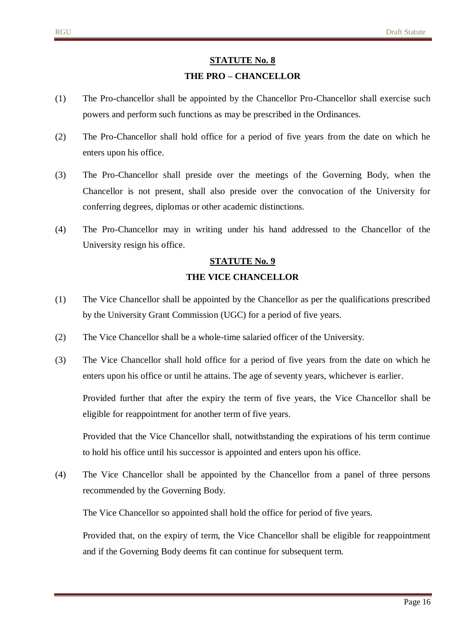#### **THE PRO – CHANCELLOR**

- (1) The Pro-chancellor shall be appointed by the Chancellor Pro-Chancellor shall exercise such powers and perform such functions as may be prescribed in the Ordinances.
- (2) The Pro-Chancellor shall hold office for a period of five years from the date on which he enters upon his office.
- (3) The Pro-Chancellor shall preside over the meetings of the Governing Body, when the Chancellor is not present, shall also preside over the convocation of the University for conferring degrees, diplomas or other academic distinctions.
- (4) The Pro-Chancellor may in writing under his hand addressed to the Chancellor of the University resign his office.

# **STATUTE No. 9 THE VICE CHANCELLOR**

- (1) The Vice Chancellor shall be appointed by the Chancellor as per the qualifications prescribed by the University Grant Commission (UGC) for a period of five years.
- (2) The Vice Chancellor shall be a whole-time salaried officer of the University.
- (3) The Vice Chancellor shall hold office for a period of five years from the date on which he enters upon his office or until he attains. The age of seventy years, whichever is earlier.

Provided further that after the expiry the term of five years, the Vice Chancellor shall be eligible for reappointment for another term of five years.

Provided that the Vice Chancellor shall, notwithstanding the expirations of his term continue to hold his office until his successor is appointed and enters upon his office.

(4) The Vice Chancellor shall be appointed by the Chancellor from a panel of three persons recommended by the Governing Body.

The Vice Chancellor so appointed shall hold the office for period of five years.

Provided that, on the expiry of term, the Vice Chancellor shall be eligible for reappointment and if the Governing Body deems fit can continue for subsequent term.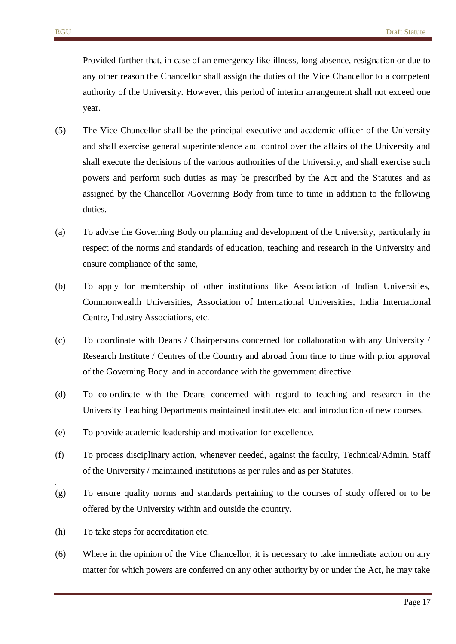Provided further that, in case of an emergency like illness, long absence, resignation or due to any other reason the Chancellor shall assign the duties of the Vice Chancellor to a competent authority of the University. However, this period of interim arrangement shall not exceed one year.

- (5) The Vice Chancellor shall be the principal executive and academic officer of the University and shall exercise general superintendence and control over the affairs of the University and shall execute the decisions of the various authorities of the University, and shall exercise such powers and perform such duties as may be prescribed by the Act and the Statutes and as assigned by the Chancellor /Governing Body from time to time in addition to the following duties.
- (a) To advise the Governing Body on planning and development of the University, particularly in respect of the norms and standards of education, teaching and research in the University and ensure compliance of the same,
- (b) To apply for membership of other institutions like Association of Indian Universities, Commonwealth Universities, Association of International Universities, India International Centre, Industry Associations, etc.
- (c) To coordinate with Deans / Chairpersons concerned for collaboration with any University / Research Institute / Centres of the Country and abroad from time to time with prior approval of the Governing Body and in accordance with the government directive.
- (d) To co-ordinate with the Deans concerned with regard to teaching and research in the University Teaching Departments maintained institutes etc. and introduction of new courses.
- (e) To provide academic leadership and motivation for excellence.
- (f) To process disciplinary action, whenever needed, against the faculty, Technical/Admin. Staff of the University / maintained institutions as per rules and as per Statutes.
- (g) To ensure quality norms and standards pertaining to the courses of study offered or to be offered by the University within and outside the country.
- (h) To take steps for accreditation etc.

.

(6) Where in the opinion of the Vice Chancellor, it is necessary to take immediate action on any matter for which powers are conferred on any other authority by or under the Act, he may take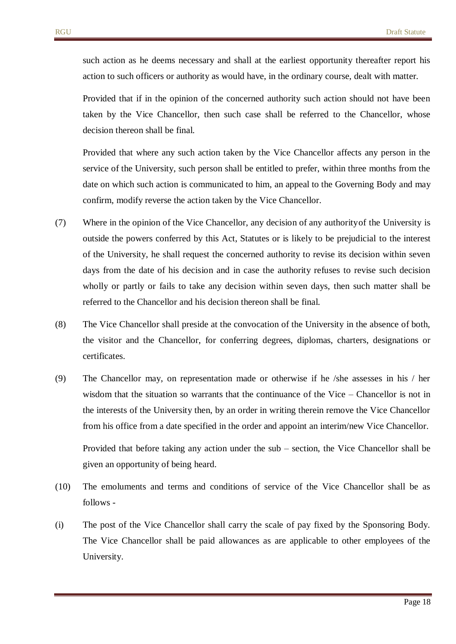such action as he deems necessary and shall at the earliest opportunity thereafter report his action to such officers or authority as would have, in the ordinary course, dealt with matter.

Provided that if in the opinion of the concerned authority such action should not have been taken by the Vice Chancellor, then such case shall be referred to the Chancellor, whose decision thereon shall be final.

Provided that where any such action taken by the Vice Chancellor affects any person in the service of the University, such person shall be entitled to prefer, within three months from the date on which such action is communicated to him, an appeal to the Governing Body and may confirm, modify reverse the action taken by the Vice Chancellor.

- (7) Where in the opinion of the Vice Chancellor, any decision of any authorityof the University is outside the powers conferred by this Act, Statutes or is likely to be prejudicial to the interest of the University, he shall request the concerned authority to revise its decision within seven days from the date of his decision and in case the authority refuses to revise such decision wholly or partly or fails to take any decision within seven days, then such matter shall be referred to the Chancellor and his decision thereon shall be final.
- (8) The Vice Chancellor shall preside at the convocation of the University in the absence of both, the visitor and the Chancellor, for conferring degrees, diplomas, charters, designations or certificates.
- (9) The Chancellor may, on representation made or otherwise if he /she assesses in his / her wisdom that the situation so warrants that the continuance of the Vice – Chancellor is not in the interests of the University then, by an order in writing therein remove the Vice Chancellor from his office from a date specified in the order and appoint an interim/new Vice Chancellor.

Provided that before taking any action under the sub – section, the Vice Chancellor shall be given an opportunity of being heard.

- (10) The emoluments and terms and conditions of service of the Vice Chancellor shall be as follows -
- (i) The post of the Vice Chancellor shall carry the scale of pay fixed by the Sponsoring Body. The Vice Chancellor shall be paid allowances as are applicable to other employees of the University.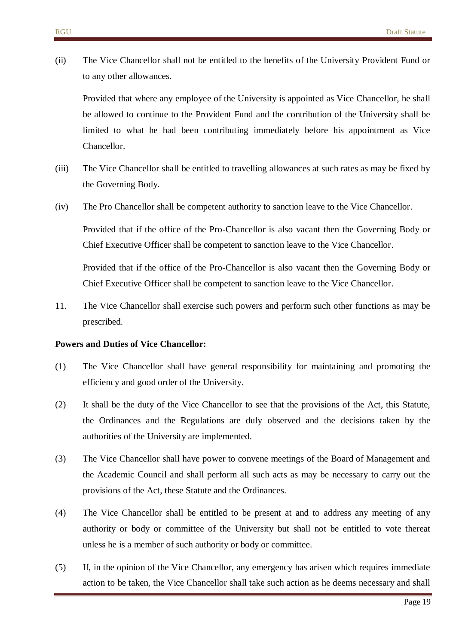(ii) The Vice Chancellor shall not be entitled to the benefits of the University Provident Fund or to any other allowances.

Provided that where any employee of the University is appointed as Vice Chancellor, he shall be allowed to continue to the Provident Fund and the contribution of the University shall be limited to what he had been contributing immediately before his appointment as Vice Chancellor.

- (iii) The Vice Chancellor shall be entitled to travelling allowances at such rates as may be fixed by the Governing Body.
- (iv) The Pro Chancellor shall be competent authority to sanction leave to the Vice Chancellor.

Provided that if the office of the Pro-Chancellor is also vacant then the Governing Body or Chief Executive Officer shall be competent to sanction leave to the Vice Chancellor.

Provided that if the office of the Pro-Chancellor is also vacant then the Governing Body or Chief Executive Officer shall be competent to sanction leave to the Vice Chancellor.

11. The Vice Chancellor shall exercise such powers and perform such other functions as may be prescribed.

#### **Powers and Duties of Vice Chancellor:**

- (1) The Vice Chancellor shall have general responsibility for maintaining and promoting the efficiency and good order of the University.
- (2) It shall be the duty of the Vice Chancellor to see that the provisions of the Act, this Statute, the Ordinances and the Regulations are duly observed and the decisions taken by the authorities of the University are implemented.
- (3) The Vice Chancellor shall have power to convene meetings of the Board of Management and the Academic Council and shall perform all such acts as may be necessary to carry out the provisions of the Act, these Statute and the Ordinances.
- (4) The Vice Chancellor shall be entitled to be present at and to address any meeting of any authority or body or committee of the University but shall not be entitled to vote thereat unless he is a member of such authority or body or committee.
- (5) If, in the opinion of the Vice Chancellor, any emergency has arisen which requires immediate action to be taken, the Vice Chancellor shall take such action as he deems necessary and shall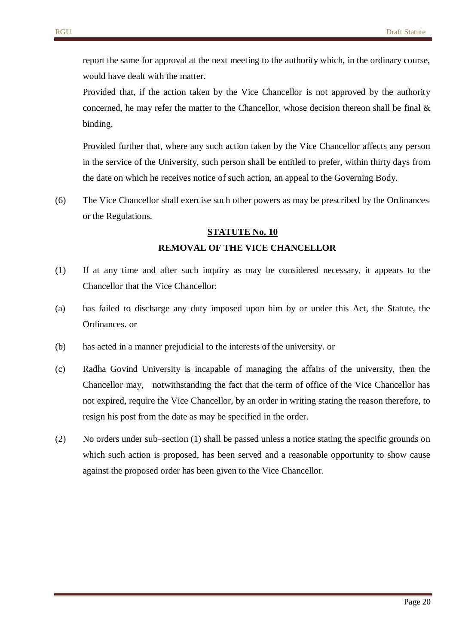report the same for approval at the next meeting to the authority which, in the ordinary course, would have dealt with the matter.

Provided that, if the action taken by the Vice Chancellor is not approved by the authority concerned, he may refer the matter to the Chancellor, whose decision thereon shall be final  $\&$ binding.

Provided further that, where any such action taken by the Vice Chancellor affects any person in the service of the University, such person shall be entitled to prefer, within thirty days from the date on which he receives notice of such action, an appeal to the Governing Body.

(6) The Vice Chancellor shall exercise such other powers as may be prescribed by the Ordinances or the Regulations.

# **STATUTE No. 10 REMOVAL OF THE VICE CHANCELLOR**

- (1) If at any time and after such inquiry as may be considered necessary, it appears to the Chancellor that the Vice Chancellor:
- (a) has failed to discharge any duty imposed upon him by or under this Act, the Statute, the Ordinances. or
- (b) has acted in a manner prejudicial to the interests of the university. or
- (c) Radha Govind University is incapable of managing the affairs of the university, then the Chancellor may, notwithstanding the fact that the term of office of the Vice Chancellor has not expired, require the Vice Chancellor, by an order in writing stating the reason therefore, to resign his post from the date as may be specified in the order.
- (2) No orders under sub–section (1) shall be passed unless a notice stating the specific grounds on which such action is proposed, has been served and a reasonable opportunity to show cause against the proposed order has been given to the Vice Chancellor.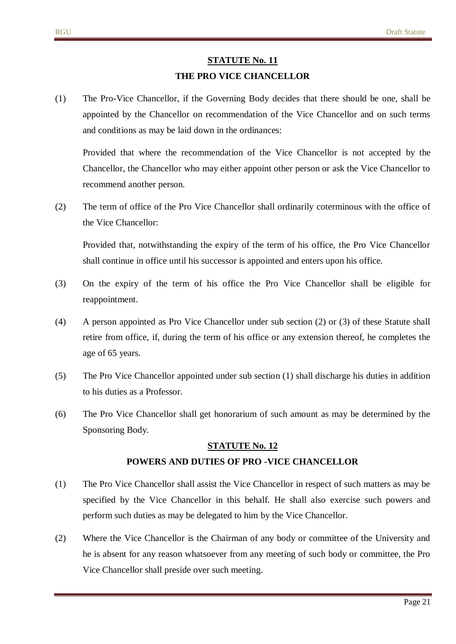# **STATUTE No. 11 THE PRO VICE CHANCELLOR**

(1) The Pro-Vice Chancellor, if the Governing Body decides that there should be one, shall be appointed by the Chancellor on recommendation of the Vice Chancellor and on such terms and conditions as may be laid down in the ordinances:

Provided that where the recommendation of the Vice Chancellor is not accepted by the Chancellor, the Chancellor who may either appoint other person or ask the Vice Chancellor to recommend another person.

(2) The term of office of the Pro Vice Chancellor shall ordinarily coterminous with the office of the Vice Chancellor:

Provided that, notwithstanding the expiry of the term of his office, the Pro Vice Chancellor shall continue in office until his successor is appointed and enters upon his office.

- (3) On the expiry of the term of his office the Pro Vice Chancellor shall be eligible for reappointment.
- (4) A person appointed as Pro Vice Chancellor under sub section (2) or (3) of these Statute shall retire from office, if, during the term of his office or any extension thereof, he completes the age of 65 years.
- (5) The Pro Vice Chancellor appointed under sub section (1) shall discharge his duties in addition to his duties as a Professor.
- (6) The Pro Vice Chancellor shall get honorarium of such amount as may be determined by the Sponsoring Body.

# **STATUTE No. 12 POWERS AND DUTIES OF PRO -VICE CHANCELLOR**

- (1) The Pro Vice Chancellor shall assist the Vice Chancellor in respect of such matters as may be specified by the Vice Chancellor in this behalf. He shall also exercise such powers and perform such duties as may be delegated to him by the Vice Chancellor.
- (2) Where the Vice Chancellor is the Chairman of any body or committee of the University and he is absent for any reason whatsoever from any meeting of such body or committee, the Pro Vice Chancellor shall preside over such meeting.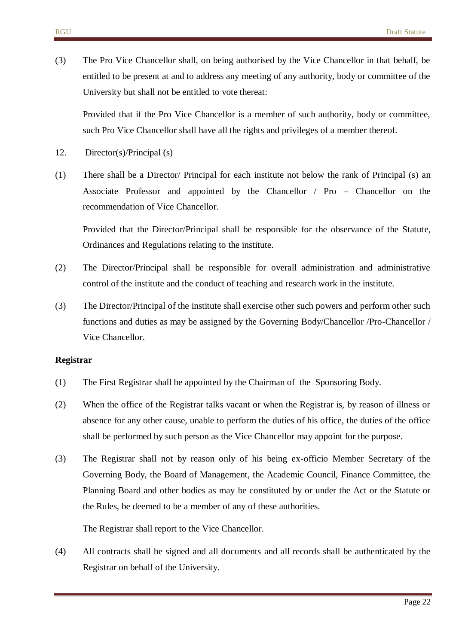(3) The Pro Vice Chancellor shall, on being authorised by the Vice Chancellor in that behalf, be entitled to be present at and to address any meeting of any authority, body or committee of the University but shall not be entitled to vote thereat:

Provided that if the Pro Vice Chancellor is a member of such authority, body or committee, such Pro Vice Chancellor shall have all the rights and privileges of a member thereof.

- 12. Director(s)/Principal (s)
- (1) There shall be a Director/ Principal for each institute not below the rank of Principal (s) an Associate Professor and appointed by the Chancellor / Pro – Chancellor on the recommendation of Vice Chancellor.

Provided that the Director/Principal shall be responsible for the observance of the Statute, Ordinances and Regulations relating to the institute.

- (2) The Director/Principal shall be responsible for overall administration and administrative control of the institute and the conduct of teaching and research work in the institute.
- (3) The Director/Principal of the institute shall exercise other such powers and perform other such functions and duties as may be assigned by the Governing Body/Chancellor /Pro-Chancellor / Vice Chancellor.

#### **Registrar**

- (1) The First Registrar shall be appointed by the Chairman of the Sponsoring Body.
- (2) When the office of the Registrar talks vacant or when the Registrar is, by reason of illness or absence for any other cause, unable to perform the duties of his office, the duties of the office shall be performed by such person as the Vice Chancellor may appoint for the purpose.
- (3) The Registrar shall not by reason only of his being ex-officio Member Secretary of the Governing Body, the Board of Management, the Academic Council, Finance Committee, the Planning Board and other bodies as may be constituted by or under the Act or the Statute or the Rules, be deemed to be a member of any of these authorities.

The Registrar shall report to the Vice Chancellor.

(4) All contracts shall be signed and all documents and all records shall be authenticated by the Registrar on behalf of the University.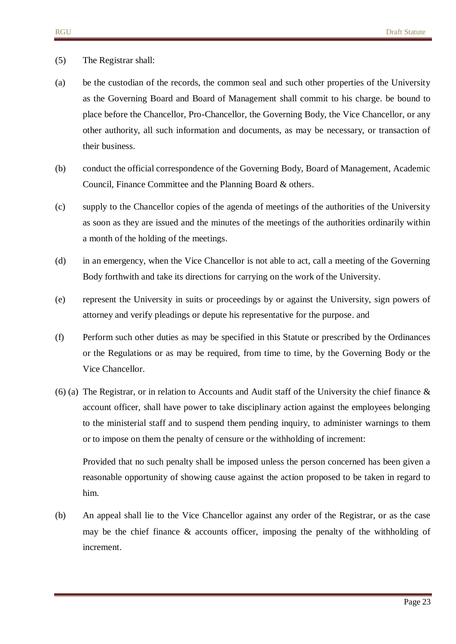#### (5) The Registrar shall:

- (a) be the custodian of the records, the common seal and such other properties of the University as the Governing Board and Board of Management shall commit to his charge. be bound to place before the Chancellor, Pro-Chancellor, the Governing Body, the Vice Chancellor, or any other authority, all such information and documents, as may be necessary, or transaction of their business.
- (b) conduct the official correspondence of the Governing Body, Board of Management, Academic Council, Finance Committee and the Planning Board & others.
- (c) supply to the Chancellor copies of the agenda of meetings of the authorities of the University as soon as they are issued and the minutes of the meetings of the authorities ordinarily within a month of the holding of the meetings.
- (d) in an emergency, when the Vice Chancellor is not able to act, call a meeting of the Governing Body forthwith and take its directions for carrying on the work of the University.
- (e) represent the University in suits or proceedings by or against the University, sign powers of attorney and verify pleadings or depute his representative for the purpose. and
- (f) Perform such other duties as may be specified in this Statute or prescribed by the Ordinances or the Regulations or as may be required, from time to time, by the Governing Body or the Vice Chancellor.
- (6) (a) The Registrar, or in relation to Accounts and Audit staff of the University the chief finance & account officer, shall have power to take disciplinary action against the employees belonging to the ministerial staff and to suspend them pending inquiry, to administer warnings to them or to impose on them the penalty of censure or the withholding of increment:

Provided that no such penalty shall be imposed unless the person concerned has been given a reasonable opportunity of showing cause against the action proposed to be taken in regard to him.

(b) An appeal shall lie to the Vice Chancellor against any order of the Registrar, or as the case may be the chief finance & accounts officer, imposing the penalty of the withholding of increment.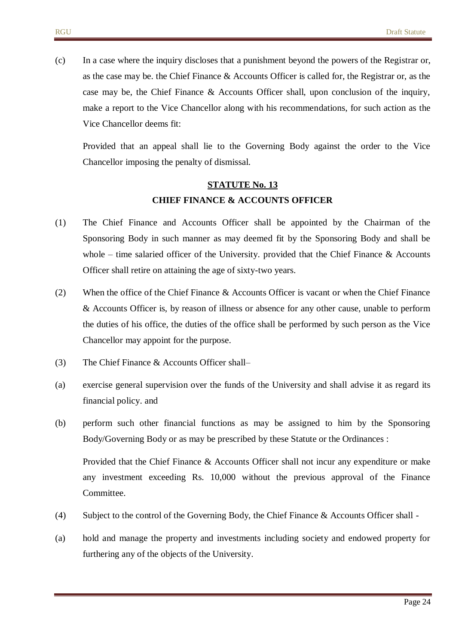(c) In a case where the inquiry discloses that a punishment beyond the powers of the Registrar or, as the case may be. the Chief Finance & Accounts Officer is called for, the Registrar or, as the case may be, the Chief Finance & Accounts Officer shall, upon conclusion of the inquiry, make a report to the Vice Chancellor along with his recommendations, for such action as the Vice Chancellor deems fit:

Provided that an appeal shall lie to the Governing Body against the order to the Vice Chancellor imposing the penalty of dismissal.

# **STATUTE No. 13 CHIEF FINANCE & ACCOUNTS OFFICER**

- (1) The Chief Finance and Accounts Officer shall be appointed by the Chairman of the Sponsoring Body in such manner as may deemed fit by the Sponsoring Body and shall be whole – time salaried officer of the University. provided that the Chief Finance  $\&$  Accounts Officer shall retire on attaining the age of sixty-two years.
- (2) When the office of the Chief Finance & Accounts Officer is vacant or when the Chief Finance & Accounts Officer is, by reason of illness or absence for any other cause, unable to perform the duties of his office, the duties of the office shall be performed by such person as the Vice Chancellor may appoint for the purpose.
- (3) The Chief Finance & Accounts Officer shall–
- (a) exercise general supervision over the funds of the University and shall advise it as regard its financial policy. and
- (b) perform such other financial functions as may be assigned to him by the Sponsoring Body/Governing Body or as may be prescribed by these Statute or the Ordinances :

Provided that the Chief Finance & Accounts Officer shall not incur any expenditure or make any investment exceeding Rs. 10,000 without the previous approval of the Finance Committee.

- (4) Subject to the control of the Governing Body, the Chief Finance & Accounts Officer shall -
- (a) hold and manage the property and investments including society and endowed property for furthering any of the objects of the University.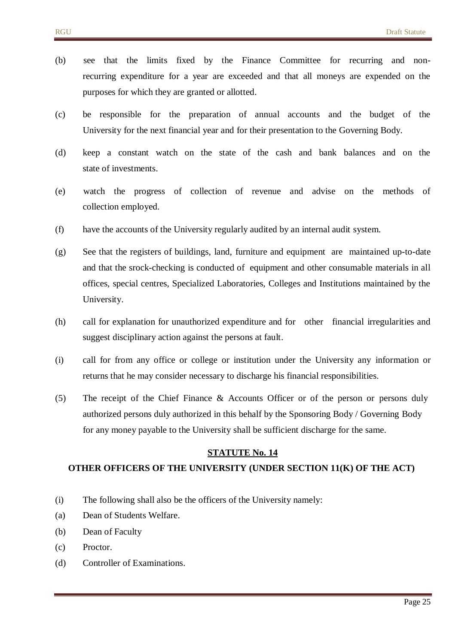- (b) see that the limits fixed by the Finance Committee for recurring and nonrecurring expenditure for a year are exceeded and that all moneys are expended on the purposes for which they are granted or allotted.
- (c) be responsible for the preparation of annual accounts and the budget of the University for the next financial year and for their presentation to the Governing Body.
- (d) keep a constant watch on the state of the cash and bank balances and on the state of investments.
- (e) watch the progress of collection of revenue and advise on the methods of collection employed.
- (f) have the accounts of the University regularly audited by an internal audit system.
- (g) See that the registers of buildings, land, furniture and equipment are maintained up-to-date and that the srock-checking is conducted of equipment and other consumable materials in all offices, special centres, Specialized Laboratories, Colleges and Institutions maintained by the University.
- (h) call for explanation for unauthorized expenditure and for other financial irregularities and suggest disciplinary action against the persons at fault.
- (i) call for from any office or college or institution under the University any information or returns that he may consider necessary to discharge his financial responsibilities.
- (5) The receipt of the Chief Finance & Accounts Officer or of the person or persons duly authorized persons duly authorized in this behalf by the Sponsoring Body / Governing Body for any money payable to the University shall be sufficient discharge for the same.

#### **OTHER OFFICERS OF THE UNIVERSITY (UNDER SECTION 11(K) OF THE ACT)**

- (i) The following shall also be the officers of the University namely:
- (a) Dean of Students Welfare.
- (b) Dean of Faculty
- (c) Proctor.
- (d) Controller of Examinations.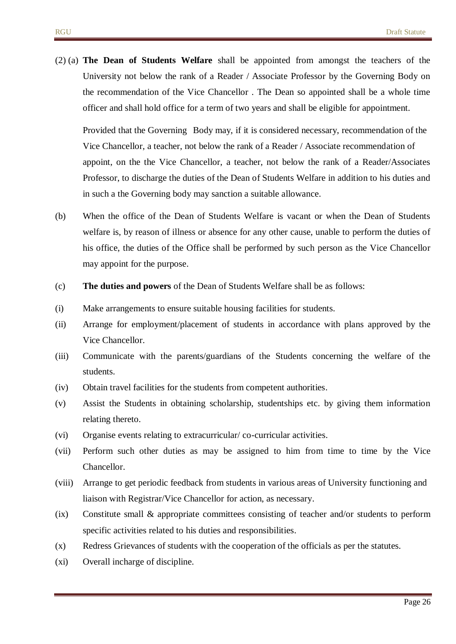(2) (a) **The Dean of Students Welfare** shall be appointed from amongst the teachers of the University not below the rank of a Reader / Associate Professor by the Governing Body on the recommendation of the Vice Chancellor . The Dean so appointed shall be a whole time officer and shall hold office for a term of two years and shall be eligible for appointment.

Provided that the Governing Body may, if it is considered necessary, recommendation of the Vice Chancellor, a teacher, not below the rank of a Reader / Associate recommendation of appoint, on the the Vice Chancellor, a teacher, not below the rank of a Reader/Associates Professor, to discharge the duties of the Dean of Students Welfare in addition to his duties and in such a the Governing body may sanction a suitable allowance.

- (b) When the office of the Dean of Students Welfare is vacant or when the Dean of Students welfare is, by reason of illness or absence for any other cause, unable to perform the duties of his office, the duties of the Office shall be performed by such person as the Vice Chancellor may appoint for the purpose.
- (c) **The duties and powers** of the Dean of Students Welfare shall be as follows:
- (i) Make arrangements to ensure suitable housing facilities for students.
- (ii) Arrange for employment/placement of students in accordance with plans approved by the Vice Chancellor.
- (iii) Communicate with the parents/guardians of the Students concerning the welfare of the students.
- (iv) Obtain travel facilities for the students from competent authorities.
- (v) Assist the Students in obtaining scholarship, studentships etc. by giving them information relating thereto.
- (vi) Organise events relating to extracurricular/ co-curricular activities.
- (vii) Perform such other duties as may be assigned to him from time to time by the Vice Chancellor.
- (viii) Arrange to get periodic feedback from students in various areas of University functioning and liaison with Registrar/Vice Chancellor for action, as necessary.
- (ix) Constitute small & appropriate committees consisting of teacher and/or students to perform specific activities related to his duties and responsibilities.
- (x) Redress Grievances of students with the cooperation of the officials as per the statutes.
- (xi) Overall incharge of discipline.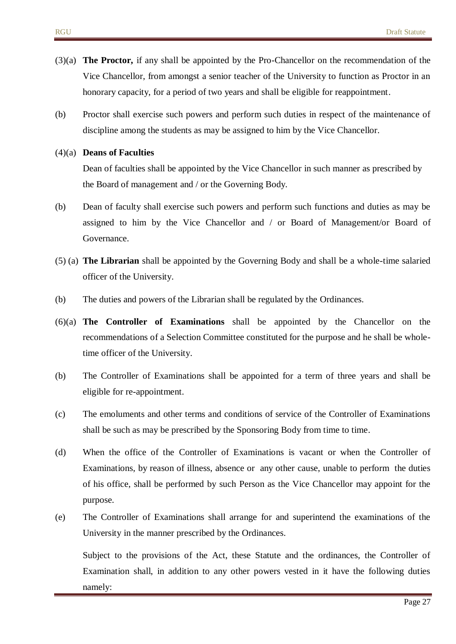- (3)(a) **The Proctor,** if any shall be appointed by the Pro-Chancellor on the recommendation of the Vice Chancellor, from amongst a senior teacher of the University to function as Proctor in an honorary capacity, for a period of two years and shall be eligible for reappointment.
- (b) Proctor shall exercise such powers and perform such duties in respect of the maintenance of discipline among the students as may be assigned to him by the Vice Chancellor.

#### (4)(a) **Deans of Faculties**

Dean of faculties shall be appointed by the Vice Chancellor in such manner as prescribed by the Board of management and / or the Governing Body.

- (b) Dean of faculty shall exercise such powers and perform such functions and duties as may be assigned to him by the Vice Chancellor and / or Board of Management/or Board of Governance.
- (5) (a) **The Librarian** shall be appointed by the Governing Body and shall be a whole-time salaried officer of the University.
- (b) The duties and powers of the Librarian shall be regulated by the Ordinances.
- (6)(a) **The Controller of Examinations** shall be appointed by the Chancellor on the recommendations of a Selection Committee constituted for the purpose and he shall be wholetime officer of the University.
- (b) The Controller of Examinations shall be appointed for a term of three years and shall be eligible for re-appointment.
- (c) The emoluments and other terms and conditions of service of the Controller of Examinations shall be such as may be prescribed by the Sponsoring Body from time to time.
- (d) When the office of the Controller of Examinations is vacant or when the Controller of Examinations, by reason of illness, absence or any other cause, unable to perform the duties of his office, shall be performed by such Person as the Vice Chancellor may appoint for the purpose.
- (e) The Controller of Examinations shall arrange for and superintend the examinations of the University in the manner prescribed by the Ordinances.

Subject to the provisions of the Act, these Statute and the ordinances, the Controller of Examination shall, in addition to any other powers vested in it have the following duties namely: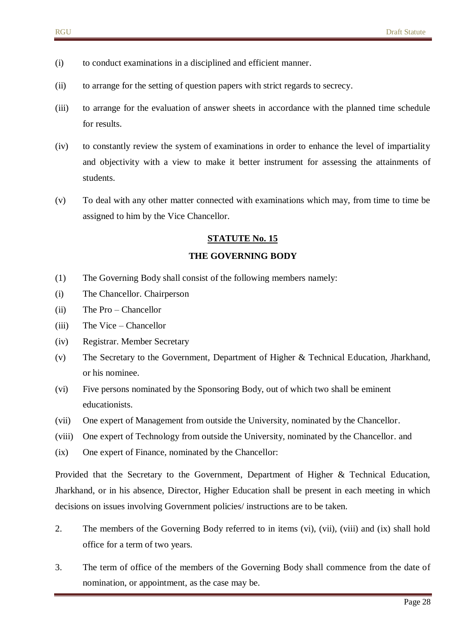- (i) to conduct examinations in a disciplined and efficient manner.
- (ii) to arrange for the setting of question papers with strict regards to secrecy.
- (iii) to arrange for the evaluation of answer sheets in accordance with the planned time schedule for results.
- (iv) to constantly review the system of examinations in order to enhance the level of impartiality and objectivity with a view to make it better instrument for assessing the attainments of students.
- (v) To deal with any other matter connected with examinations which may, from time to time be assigned to him by the Vice Chancellor.

#### **THE GOVERNING BODY**

- (1) The Governing Body shall consist of the following members namely:
- (i) The Chancellor. Chairperson
- (ii) The Pro Chancellor
- (iii) The Vice Chancellor
- (iv) Registrar. Member Secretary
- (v) The Secretary to the Government, Department of Higher & Technical Education, Jharkhand, or his nominee.
- (vi) Five persons nominated by the Sponsoring Body, out of which two shall be eminent educationists.
- (vii) One expert of Management from outside the University, nominated by the Chancellor.
- (viii) One expert of Technology from outside the University, nominated by the Chancellor. and
- (ix) One expert of Finance, nominated by the Chancellor:

Provided that the Secretary to the Government, Department of Higher & Technical Education, Jharkhand, or in his absence, Director, Higher Education shall be present in each meeting in which decisions on issues involving Government policies/ instructions are to be taken.

- 2. The members of the Governing Body referred to in items (vi), (vii), (viii) and (ix) shall hold office for a term of two years.
- 3. The term of office of the members of the Governing Body shall commence from the date of nomination, or appointment, as the case may be.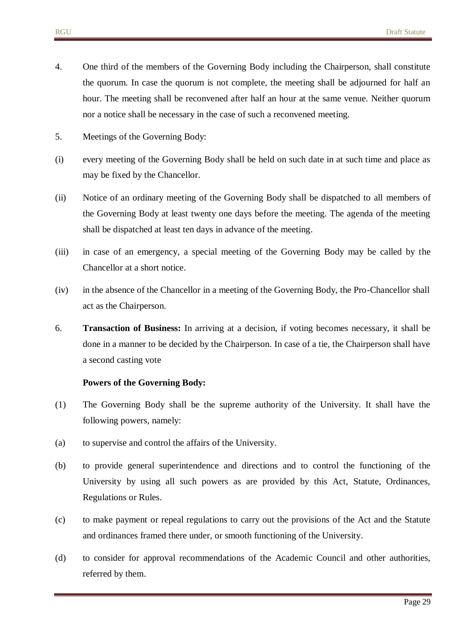- 4. One third of the members of the Governing Body including the Chairperson, shall constitute the quorum. In case the quorum is not complete, the meeting shall be adjourned for half an hour. The meeting shall be reconvened after half an hour at the same venue. Neither quorum nor a notice shall be necessary in the case of such a reconvened meeting.
- 5. Meetings of the Governing Body:
- (i) every meeting of the Governing Body shall be held on such date in at such time and place as may be fixed by the Chancellor.
- (ii) Notice of an ordinary meeting of the Governing Body shall be dispatched to all members of the Governing Body at least twenty one days before the meeting. The agenda of the meeting shall be dispatched at least ten days in advance of the meeting.
- (iii) in case of an emergency, a special meeting of the Governing Body may be called by the Chancellor at a short notice.
- (iv) in the absence of the Chancellor in a meeting of the Governing Body, the Pro-Chancellor shall act as the Chairperson.
- 6. **Transaction of Business:** In arriving at a decision, if voting becomes necessary, it shall be done in a manner to be decided by the Chairperson. In case of a tie, the Chairperson shall have a second casting vote

#### **Powers of the Governing Body:**

- (1) The Governing Body shall be the supreme authority of the University. It shall have the following powers, namely:
- (a) to supervise and control the affairs of the University.
- (b) to provide general superintendence and directions and to control the functioning of the University by using all such powers as are provided by this Act, Statute, Ordinances, Regulations or Rules.
- (c) to make payment or repeal regulations to carry out the provisions of the Act and the Statute and ordinances framed there under, or smooth functioning of the University.
- (d) to consider for approval recommendations of the Academic Council and other authorities, referred by them.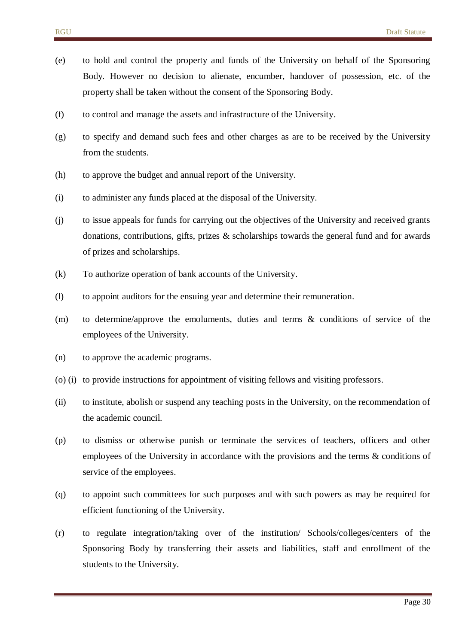- (e) to hold and control the property and funds of the University on behalf of the Sponsoring Body. However no decision to alienate, encumber, handover of possession, etc. of the property shall be taken without the consent of the Sponsoring Body.
- (f) to control and manage the assets and infrastructure of the University.
- (g) to specify and demand such fees and other charges as are to be received by the University from the students.
- (h) to approve the budget and annual report of the University.
- (i) to administer any funds placed at the disposal of the University.
- (j) to issue appeals for funds for carrying out the objectives of the University and received grants donations, contributions, gifts, prizes  $\&$  scholarships towards the general fund and for awards of prizes and scholarships.
- (k) To authorize operation of bank accounts of the University.
- (l) to appoint auditors for the ensuing year and determine their remuneration.
- (m) to determine/approve the emoluments, duties and terms & conditions of service of the employees of the University.
- (n) to approve the academic programs.
- (o) (i) to provide instructions for appointment of visiting fellows and visiting professors.
- (ii) to institute, abolish or suspend any teaching posts in the University, on the recommendation of the academic council.
- (p) to dismiss or otherwise punish or terminate the services of teachers, officers and other employees of the University in accordance with the provisions and the terms & conditions of service of the employees.
- (q) to appoint such committees for such purposes and with such powers as may be required for efficient functioning of the University.
- (r) to regulate integration/taking over of the institution/ Schools/colleges/centers of the Sponsoring Body by transferring their assets and liabilities, staff and enrollment of the students to the University.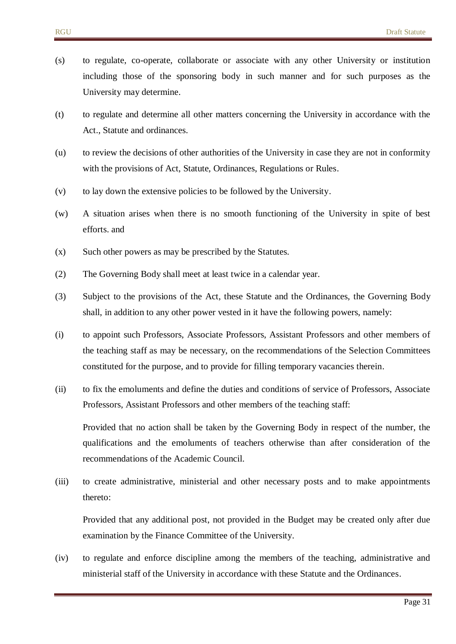- (s) to regulate, co-operate, collaborate or associate with any other University or institution including those of the sponsoring body in such manner and for such purposes as the University may determine.
- (t) to regulate and determine all other matters concerning the University in accordance with the Act., Statute and ordinances.
- (u) to review the decisions of other authorities of the University in case they are not in conformity with the provisions of Act, Statute, Ordinances, Regulations or Rules.
- (v) to lay down the extensive policies to be followed by the University.
- (w) A situation arises when there is no smooth functioning of the University in spite of best efforts. and
- (x) Such other powers as may be prescribed by the Statutes.
- (2) The Governing Body shall meet at least twice in a calendar year.
- (3) Subject to the provisions of the Act, these Statute and the Ordinances, the Governing Body shall, in addition to any other power vested in it have the following powers, namely:
- (i) to appoint such Professors, Associate Professors, Assistant Professors and other members of the teaching staff as may be necessary, on the recommendations of the Selection Committees constituted for the purpose, and to provide for filling temporary vacancies therein.
- (ii) to fix the emoluments and define the duties and conditions of service of Professors, Associate Professors, Assistant Professors and other members of the teaching staff:

Provided that no action shall be taken by the Governing Body in respect of the number, the qualifications and the emoluments of teachers otherwise than after consideration of the recommendations of the Academic Council.

(iii) to create administrative, ministerial and other necessary posts and to make appointments thereto:

Provided that any additional post, not provided in the Budget may be created only after due examination by the Finance Committee of the University.

(iv) to regulate and enforce discipline among the members of the teaching, administrative and ministerial staff of the University in accordance with these Statute and the Ordinances.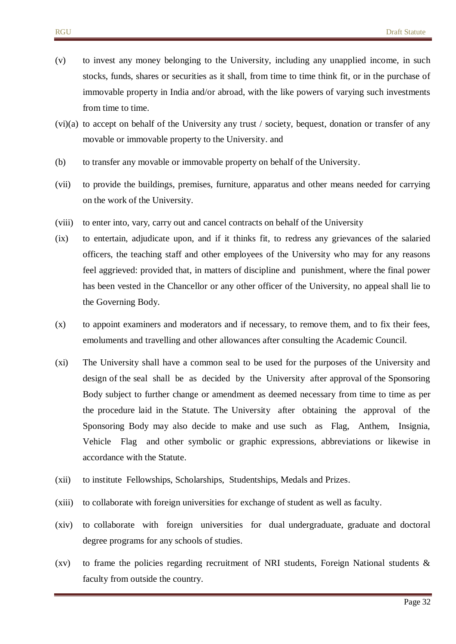- (v) to invest any money belonging to the University, including any unapplied income, in such stocks, funds, shares or securities as it shall, from time to time think fit, or in the purchase of immovable property in India and/or abroad, with the like powers of varying such investments from time to time.
- (vi)(a) to accept on behalf of the University any trust / society, bequest, donation or transfer of any movable or immovable property to the University. and
- (b) to transfer any movable or immovable property on behalf of the University.
- (vii) to provide the buildings, premises, furniture, apparatus and other means needed for carrying on the work of the University.
- (viii) to enter into, vary, carry out and cancel contracts on behalf of the University
- (ix) to entertain, adjudicate upon, and if it thinks fit, to redress any grievances of the salaried officers, the teaching staff and other employees of the University who may for any reasons feel aggrieved: provided that, in matters of discipline and punishment, where the final power has been vested in the Chancellor or any other officer of the University, no appeal shall lie to the Governing Body.
- (x) to appoint examiners and moderators and if necessary, to remove them, and to fix their fees, emoluments and travelling and other allowances after consulting the Academic Council.
- (xi) The University shall have a common seal to be used for the purposes of the University and design of the seal shall be as decided by the University after approval of the Sponsoring Body subject to further change or amendment as deemed necessary from time to time as per the procedure laid in the Statute. The University after obtaining the approval of the Sponsoring Body may also decide to make and use such as Flag, Anthem, Insignia, Vehicle Flag and other symbolic or graphic expressions, abbreviations or likewise in accordance with the Statute.
- (xii) to institute Fellowships, Scholarships, Studentships, Medals and Prizes.
- (xiii) to collaborate with foreign universities for exchange of student as well as faculty.
- (xiv) to collaborate with foreign universities for dual undergraduate, graduate and doctoral degree programs for any schools of studies.
- (xv) to frame the policies regarding recruitment of NRI students, Foreign National students  $\&$ faculty from outside the country.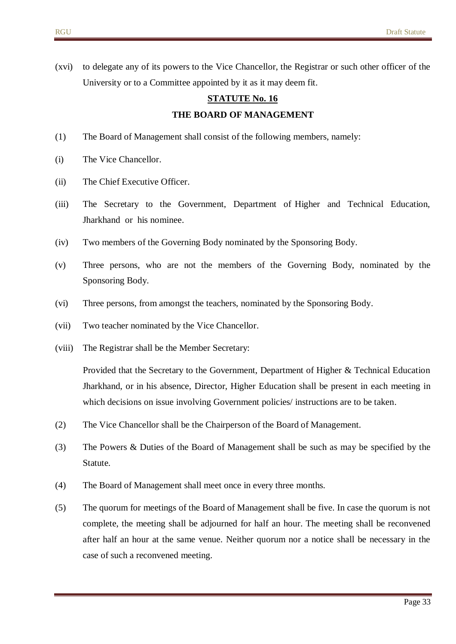(xvi) to delegate any of its powers to the Vice Chancellor, the Registrar or such other officer of the University or to a Committee appointed by it as it may deem fit.

# **STATUTE No. 16 THE BOARD OF MANAGEMENT**

- (1) The Board of Management shall consist of the following members, namely:
- (i) The Vice Chancellor.
- (ii) The Chief Executive Officer.
- (iii) The Secretary to the Government, Department of Higher and Technical Education, Jharkhand or his nominee.
- (iv) Two members of the Governing Body nominated by the Sponsoring Body.
- (v) Three persons, who are not the members of the Governing Body, nominated by the Sponsoring Body.
- (vi) Three persons, from amongst the teachers, nominated by the Sponsoring Body.
- (vii) Two teacher nominated by the Vice Chancellor.
- (viii) The Registrar shall be the Member Secretary:

Provided that the Secretary to the Government, Department of Higher & Technical Education Jharkhand, or in his absence, Director, Higher Education shall be present in each meeting in which decisions on issue involving Government policies/ instructions are to be taken.

- (2) The Vice Chancellor shall be the Chairperson of the Board of Management.
- (3) The Powers & Duties of the Board of Management shall be such as may be specified by the Statute.
- (4) The Board of Management shall meet once in every three months.
- (5) The quorum for meetings of the Board of Management shall be five. In case the quorum is not complete, the meeting shall be adjourned for half an hour. The meeting shall be reconvened after half an hour at the same venue. Neither quorum nor a notice shall be necessary in the case of such a reconvened meeting.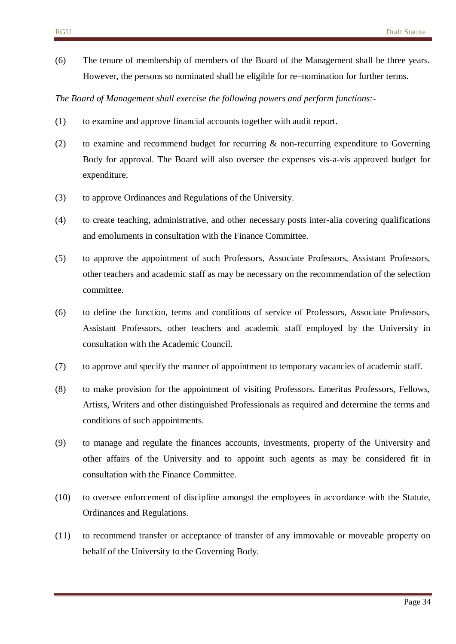(6) The tenure of membership of members of the Board of the Management shall be three years. However, the persons so nominated shall be eligible for re–nomination for further terms.

*The Board of Management shall exercise the following powers and perform functions:-*

- (1) to examine and approve financial accounts together with audit report.
- (2) to examine and recommend budget for recurring & non-recurring expenditure to Governing Body for approval. The Board will also oversee the expenses vis-a-vis approved budget for expenditure.
- (3) to approve Ordinances and Regulations of the University.
- (4) to create teaching, administrative, and other necessary posts inter-alia covering qualifications and emoluments in consultation with the Finance Committee.
- (5) to approve the appointment of such Professors, Associate Professors, Assistant Professors, other teachers and academic staff as may be necessary on the recommendation of the selection committee.
- (6) to define the function, terms and conditions of service of Professors, Associate Professors, Assistant Professors, other teachers and academic staff employed by the University in consultation with the Academic Council.
- (7) to approve and specify the manner of appointment to temporary vacancies of academic staff.
- (8) to make provision for the appointment of visiting Professors. Emeritus Professors, Fellows, Artists, Writers and other distinguished Professionals as required and determine the terms and conditions of such appointments.
- (9) to manage and regulate the finances accounts, investments, property of the University and other affairs of the University and to appoint such agents as may be considered fit in consultation with the Finance Committee.
- (10) to oversee enforcement of discipline amongst the employees in accordance with the Statute, Ordinances and Regulations.
- (11) to recommend transfer or acceptance of transfer of any immovable or moveable property on behalf of the University to the Governing Body.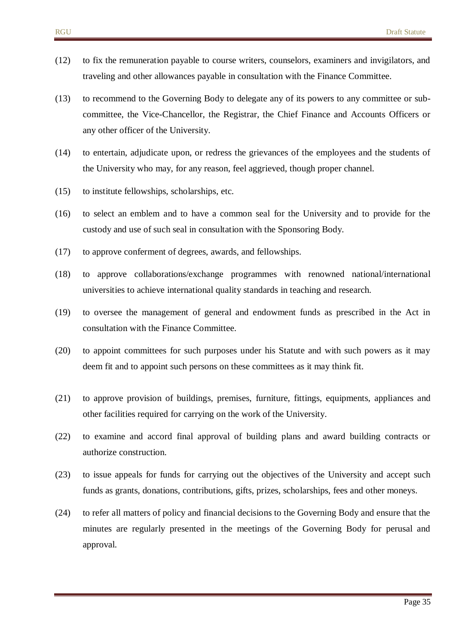- (12) to fix the remuneration payable to course writers, counselors, examiners and invigilators, and traveling and other allowances payable in consultation with the Finance Committee.
- (13) to recommend to the Governing Body to delegate any of its powers to any committee or subcommittee, the Vice-Chancellor, the Registrar, the Chief Finance and Accounts Officers or any other officer of the University.
- (14) to entertain, adjudicate upon, or redress the grievances of the employees and the students of the University who may, for any reason, feel aggrieved, though proper channel.
- (15) to institute fellowships, scholarships, etc.
- (16) to select an emblem and to have a common seal for the University and to provide for the custody and use of such seal in consultation with the Sponsoring Body.
- (17) to approve conferment of degrees, awards, and fellowships.
- (18) to approve collaborations/exchange programmes with renowned national/international universities to achieve international quality standards in teaching and research.
- (19) to oversee the management of general and endowment funds as prescribed in the Act in consultation with the Finance Committee.
- (20) to appoint committees for such purposes under his Statute and with such powers as it may deem fit and to appoint such persons on these committees as it may think fit.
- (21) to approve provision of buildings, premises, furniture, fittings, equipments, appliances and other facilities required for carrying on the work of the University.
- (22) to examine and accord final approval of building plans and award building contracts or authorize construction.
- (23) to issue appeals for funds for carrying out the objectives of the University and accept such funds as grants, donations, contributions, gifts, prizes, scholarships, fees and other moneys.
- (24) to refer all matters of policy and financial decisions to the Governing Body and ensure that the minutes are regularly presented in the meetings of the Governing Body for perusal and approval.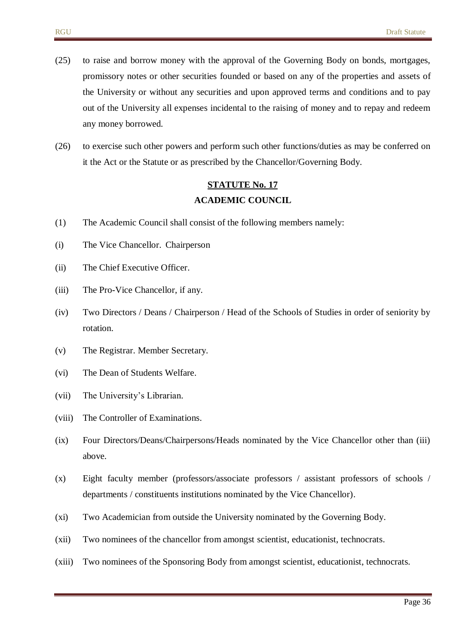- (25) to raise and borrow money with the approval of the Governing Body on bonds, mortgages, promissory notes or other securities founded or based on any of the properties and assets of the University or without any securities and upon approved terms and conditions and to pay out of the University all expenses incidental to the raising of money and to repay and redeem any money borrowed.
- (26) to exercise such other powers and perform such other functions/duties as may be conferred on it the Act or the Statute or as prescribed by the Chancellor/Governing Body.

## **STATUTE No. 17 ACADEMIC COUNCIL**

- (1) The Academic Council shall consist of the following members namely:
- (i) The Vice Chancellor. Chairperson
- (ii) The Chief Executive Officer.
- (iii) The Pro-Vice Chancellor, if any.
- (iv) Two Directors / Deans / Chairperson / Head of the Schools of Studies in order of seniority by rotation.
- (v) The Registrar. Member Secretary.
- (vi) The Dean of Students Welfare.
- (vii) The University's Librarian.
- (viii) The Controller of Examinations.
- (ix) Four Directors/Deans/Chairpersons/Heads nominated by the Vice Chancellor other than (iii) above.
- (x) Eight faculty member (professors/associate professors / assistant professors of schools / departments / constituents institutions nominated by the Vice Chancellor).
- (xi) Two Academician from outside the University nominated by the Governing Body.
- (xii) Two nominees of the chancellor from amongst scientist, educationist, technocrats.
- (xiii) Two nominees of the Sponsoring Body from amongst scientist, educationist, technocrats.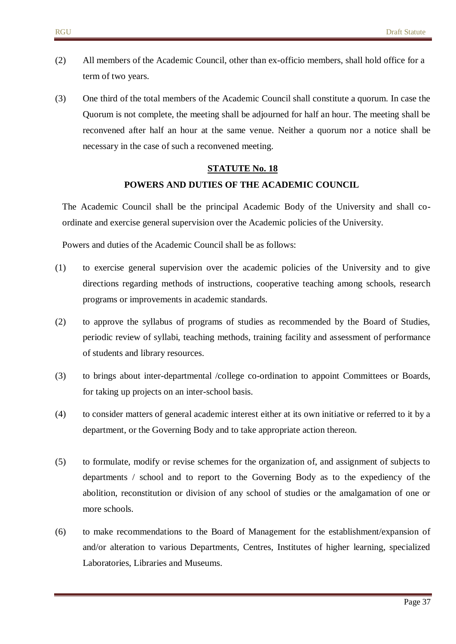- (2) All members of the Academic Council, other than ex-officio members, shall hold office for a term of two years.
- (3) One third of the total members of the Academic Council shall constitute a quorum. In case the Quorum is not complete, the meeting shall be adjourned for half an hour. The meeting shall be reconvened after half an hour at the same venue. Neither a quorum nor a notice shall be necessary in the case of such a reconvened meeting.

# **STATUTE No. 18 POWERS AND DUTIES OF THE ACADEMIC COUNCIL**

The Academic Council shall be the principal Academic Body of the University and shall coordinate and exercise general supervision over the Academic policies of the University.

Powers and duties of the Academic Council shall be as follows:

- (1) to exercise general supervision over the academic policies of the University and to give directions regarding methods of instructions, cooperative teaching among schools, research programs or improvements in academic standards.
- (2) to approve the syllabus of programs of studies as recommended by the Board of Studies, periodic review of syllabi, teaching methods, training facility and assessment of performance of students and library resources.
- (3) to brings about inter-departmental /college co-ordination to appoint Committees or Boards, for taking up projects on an inter-school basis.
- (4) to consider matters of general academic interest either at its own initiative or referred to it by a department, or the Governing Body and to take appropriate action thereon.
- (5) to formulate, modify or revise schemes for the organization of, and assignment of subjects to departments / school and to report to the Governing Body as to the expediency of the abolition, reconstitution or division of any school of studies or the amalgamation of one or more schools.
- (6) to make recommendations to the Board of Management for the establishment/expansion of and/or alteration to various Departments, Centres, Institutes of higher learning, specialized Laboratories, Libraries and Museums.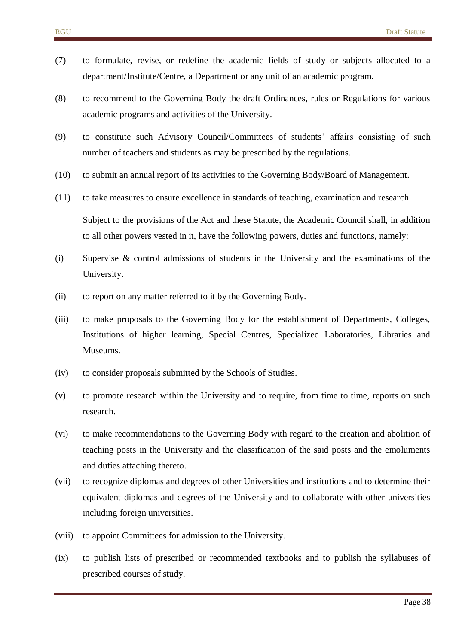- (7) to formulate, revise, or redefine the academic fields of study or subjects allocated to a department/Institute/Centre, a Department or any unit of an academic program.
- (8) to recommend to the Governing Body the draft Ordinances, rules or Regulations for various academic programs and activities of the University.
- (9) to constitute such Advisory Council/Committees of students' affairs consisting of such number of teachers and students as may be prescribed by the regulations.
- (10) to submit an annual report of its activities to the Governing Body/Board of Management.
- (11) to take measures to ensure excellence in standards of teaching, examination and research. Subject to the provisions of the Act and these Statute, the Academic Council shall, in addition to all other powers vested in it, have the following powers, duties and functions, namely:
- (i) Supervise & control admissions of students in the University and the examinations of the University.
- (ii) to report on any matter referred to it by the Governing Body.
- (iii) to make proposals to the Governing Body for the establishment of Departments, Colleges, Institutions of higher learning, Special Centres, Specialized Laboratories, Libraries and Museums.
- (iv) to consider proposals submitted by the Schools of Studies.
- (v) to promote research within the University and to require, from time to time, reports on such research.
- (vi) to make recommendations to the Governing Body with regard to the creation and abolition of teaching posts in the University and the classification of the said posts and the emoluments and duties attaching thereto.
- (vii) to recognize diplomas and degrees of other Universities and institutions and to determine their equivalent diplomas and degrees of the University and to collaborate with other universities including foreign universities.
- (viii) to appoint Committees for admission to the University.
- (ix) to publish lists of prescribed or recommended textbooks and to publish the syllabuses of prescribed courses of study.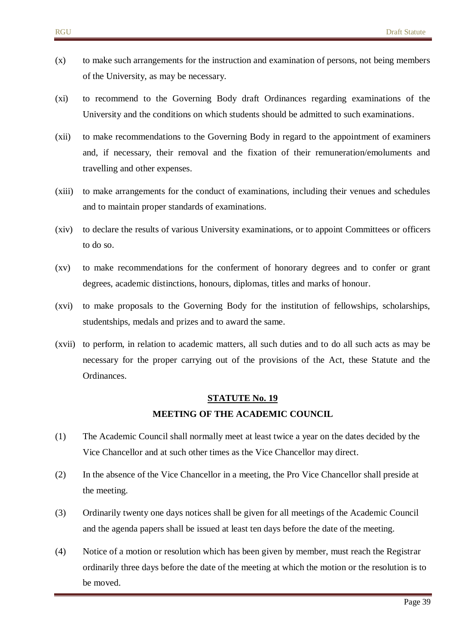- (x) to make such arrangements for the instruction and examination of persons, not being members of the University, as may be necessary.
- (xi) to recommend to the Governing Body draft Ordinances regarding examinations of the University and the conditions on which students should be admitted to such examinations.
- (xii) to make recommendations to the Governing Body in regard to the appointment of examiners and, if necessary, their removal and the fixation of their remuneration/emoluments and travelling and other expenses.
- (xiii) to make arrangements for the conduct of examinations, including their venues and schedules and to maintain proper standards of examinations.
- (xiv) to declare the results of various University examinations, or to appoint Committees or officers to do so.
- (xv) to make recommendations for the conferment of honorary degrees and to confer or grant degrees, academic distinctions, honours, diplomas, titles and marks of honour.
- (xvi) to make proposals to the Governing Body for the institution of fellowships, scholarships, studentships, medals and prizes and to award the same.
- (xvii) to perform, in relation to academic matters, all such duties and to do all such acts as may be necessary for the proper carrying out of the provisions of the Act, these Statute and the Ordinances.

# **STATUTE No. 19 MEETING OF THE ACADEMIC COUNCIL**

- (1) The Academic Council shall normally meet at least twice a year on the dates decided by the Vice Chancellor and at such other times as the Vice Chancellor may direct.
- (2) In the absence of the Vice Chancellor in a meeting, the Pro Vice Chancellor shall preside at the meeting.
- (3) Ordinarily twenty one days notices shall be given for all meetings of the Academic Council and the agenda papers shall be issued at least ten days before the date of the meeting.
- (4) Notice of a motion or resolution which has been given by member, must reach the Registrar ordinarily three days before the date of the meeting at which the motion or the resolution is to be moved.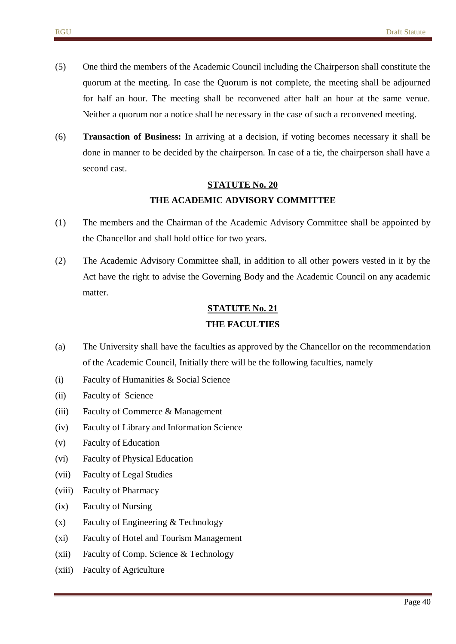- (5) One third the members of the Academic Council including the Chairperson shall constitute the quorum at the meeting. In case the Quorum is not complete, the meeting shall be adjourned for half an hour. The meeting shall be reconvened after half an hour at the same venue. Neither a quorum nor a notice shall be necessary in the case of such a reconvened meeting.
- (6) **Transaction of Business:** In arriving at a decision, if voting becomes necessary it shall be done in manner to be decided by the chairperson. In case of a tie, the chairperson shall have a second cast.

#### **THE ACADEMIC ADVISORY COMMITTEE**

- (1) The members and the Chairman of the Academic Advisory Committee shall be appointed by the Chancellor and shall hold office for two years.
- (2) The Academic Advisory Committee shall, in addition to all other powers vested in it by the Act have the right to advise the Governing Body and the Academic Council on any academic matter.

## **STATUTE No. 21 THE FACULTIES**

- (a) The University shall have the faculties as approved by the Chancellor on the recommendation of the Academic Council, Initially there will be the following faculties, namely
- (i) Faculty of Humanities & Social Science
- (ii) Faculty of Science
- (iii) Faculty of Commerce & Management
- (iv) Faculty of Library and Information Science
- (v) Faculty of Education
- (vi) Faculty of Physical Education
- (vii) Faculty of Legal Studies
- (viii) Faculty of Pharmacy
- (ix) Faculty of Nursing
- (x) Faculty of Engineering & Technology
- (xi) Faculty of Hotel and Tourism Management
- (xii) Faculty of Comp. Science & Technology
- (xiii) Faculty of Agriculture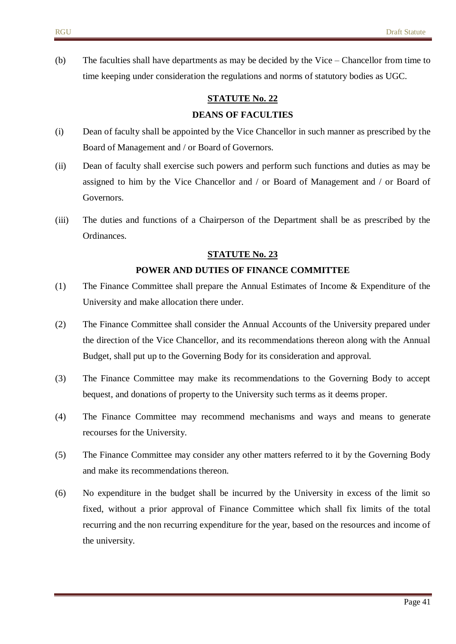(b) The faculties shall have departments as may be decided by the Vice – Chancellor from time to time keeping under consideration the regulations and norms of statutory bodies as UGC.

# **STATUTE No. 22 DEANS OF FACULTIES**

# (i) Dean of faculty shall be appointed by the Vice Chancellor in such manner as prescribed by the Board of Management and / or Board of Governors.

- (ii) Dean of faculty shall exercise such powers and perform such functions and duties as may be assigned to him by the Vice Chancellor and / or Board of Management and / or Board of Governors.
- (iii) The duties and functions of a Chairperson of the Department shall be as prescribed by the Ordinances.

#### **STATUTE No. 23**

#### **POWER AND DUTIES OF FINANCE COMMITTEE**

- (1) The Finance Committee shall prepare the Annual Estimates of Income & Expenditure of the University and make allocation there under.
- (2) The Finance Committee shall consider the Annual Accounts of the University prepared under the direction of the Vice Chancellor, and its recommendations thereon along with the Annual Budget, shall put up to the Governing Body for its consideration and approval.
- (3) The Finance Committee may make its recommendations to the Governing Body to accept bequest, and donations of property to the University such terms as it deems proper.
- (4) The Finance Committee may recommend mechanisms and ways and means to generate recourses for the University.
- (5) The Finance Committee may consider any other matters referred to it by the Governing Body and make its recommendations thereon.
- (6) No expenditure in the budget shall be incurred by the University in excess of the limit so fixed, without a prior approval of Finance Committee which shall fix limits of the total recurring and the non recurring expenditure for the year, based on the resources and income of the university.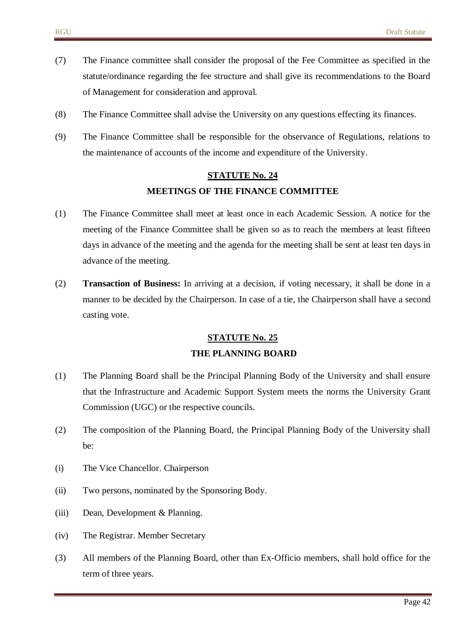- (7) The Finance committee shall consider the proposal of the Fee Committee as specified in the statute/ordinance regarding the fee structure and shall give its recommendations to the Board of Management for consideration and approval.
- (8) The Finance Committee shall advise the University on any questions effecting its finances.
- (9) The Finance Committee shall be responsible for the observance of Regulations, relations to the maintenance of accounts of the income and expenditure of the University.

# **STATUTE No. 24 MEETINGS OF THE FINANCE COMMITTEE**

- (1) The Finance Committee shall meet at least once in each Academic Session. A notice for the meeting of the Finance Committee shall be given so as to reach the members at least fifteen days in advance of the meeting and the agenda for the meeting shall be sent at least ten days in advance of the meeting.
- (2) **Transaction of Business:** In arriving at a decision, if voting necessary, it shall be done in a manner to be decided by the Chairperson. In case of a tie, the Chairperson shall have a second casting vote.

#### **STATUTE No. 25**

#### **THE PLANNING BOARD**

- (1) The Planning Board shall be the Principal Planning Body of the University and shall ensure that the Infrastructure and Academic Support System meets the norms the University Grant Commission (UGC) or the respective councils.
- (2) The composition of the Planning Board, the Principal Planning Body of the University shall be:
- (i) The Vice Chancellor. Chairperson
- (ii) Two persons, nominated by the Sponsoring Body.
- (iii) Dean, Development & Planning.
- (iv) The Registrar. Member Secretary
- (3) All members of the Planning Board, other than Ex-Officio members, shall hold office for the term of three years.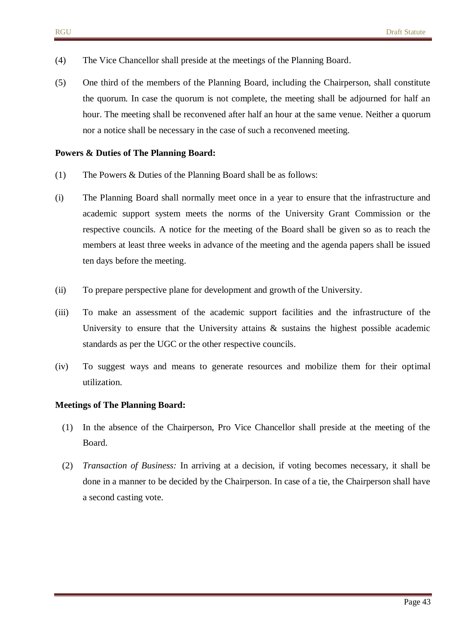- (4) The Vice Chancellor shall preside at the meetings of the Planning Board.
- (5) One third of the members of the Planning Board, including the Chairperson, shall constitute the quorum. In case the quorum is not complete, the meeting shall be adjourned for half an hour. The meeting shall be reconvened after half an hour at the same venue. Neither a quorum nor a notice shall be necessary in the case of such a reconvened meeting.

#### **Powers & Duties of The Planning Board:**

- (1) The Powers & Duties of the Planning Board shall be as follows:
- (i) The Planning Board shall normally meet once in a year to ensure that the infrastructure and academic support system meets the norms of the University Grant Commission or the respective councils. A notice for the meeting of the Board shall be given so as to reach the members at least three weeks in advance of the meeting and the agenda papers shall be issued ten days before the meeting.
- (ii) To prepare perspective plane for development and growth of the University.
- (iii) To make an assessment of the academic support facilities and the infrastructure of the University to ensure that the University attains  $\&$  sustains the highest possible academic standards as per the UGC or the other respective councils.
- (iv) To suggest ways and means to generate resources and mobilize them for their optimal utilization.

#### **Meetings of The Planning Board:**

- (1) In the absence of the Chairperson, Pro Vice Chancellor shall preside at the meeting of the Board.
- (2) *Transaction of Business:* In arriving at a decision, if voting becomes necessary, it shall be done in a manner to be decided by the Chairperson. In case of a tie, the Chairperson shall have a second casting vote.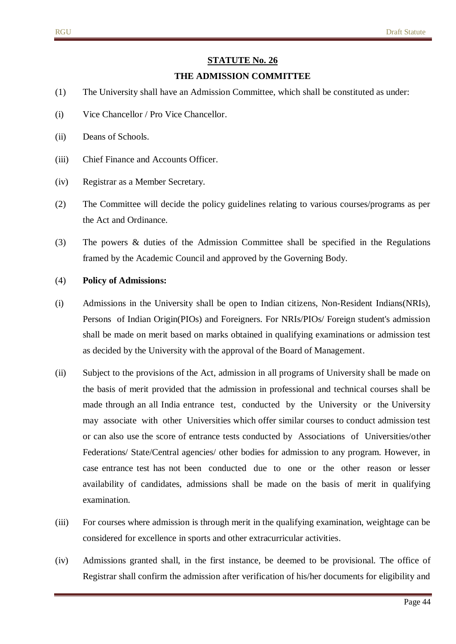#### **THE ADMISSION COMMITTEE**

- (1) The University shall have an Admission Committee, which shall be constituted as under:
- (i) Vice Chancellor / Pro Vice Chancellor.
- (ii) Deans of Schools.
- (iii) Chief Finance and Accounts Officer.
- (iv) Registrar as a Member Secretary.
- (2) The Committee will decide the policy guidelines relating to various courses/programs as per the Act and Ordinance.
- (3) The powers & duties of the Admission Committee shall be specified in the Regulations framed by the Academic Council and approved by the Governing Body.

#### (4) **Policy of Admissions:**

- (i) Admissions in the University shall be open to Indian citizens, Non-Resident Indians(NRIs), Persons of Indian Origin(PIOs) and Foreigners. For NRIs/PIOs/ Foreign student's admission shall be made on merit based on marks obtained in qualifying examinations or admission test as decided by the University with the approval of the Board of Management.
- (ii) Subject to the provisions of the Act, admission in all programs of University shall be made on the basis of merit provided that the admission in professional and technical courses shall be made through an all India entrance test, conducted by the University or the University may associate with other Universities which offer similar courses to conduct admission test or can also use the score of entrance tests conducted by Associations of Universities/other Federations/ State/Central agencies/ other bodies for admission to any program. However, in case entrance test has not been conducted due to one or the other reason or lesser availability of candidates, admissions shall be made on the basis of merit in qualifying examination.
- (iii) For courses where admission is through merit in the qualifying examination, weightage can be considered for excellence in sports and other extracurricular activities.
- (iv) Admissions granted shall, in the first instance, be deemed to be provisional. The office of Registrar shall confirm the admission after verification of his/her documents for eligibility and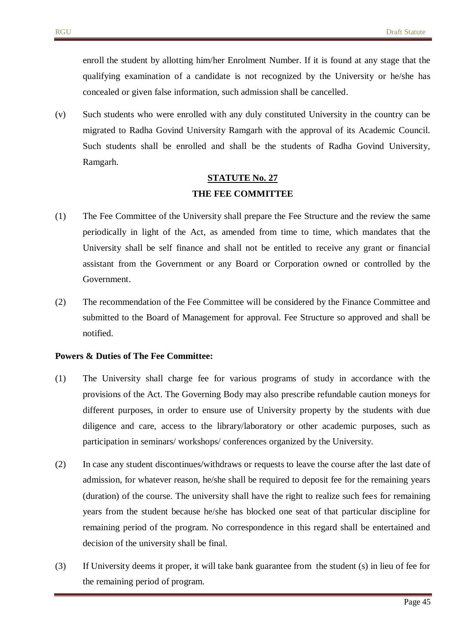enroll the student by allotting him/her Enrolment Number. If it is found at any stage that the qualifying examination of a candidate is not recognized by the University or he/she has concealed or given false information, such admission shall be cancelled.

(v) Such students who were enrolled with any duly constituted University in the country can be migrated to Radha Govind University Ramgarh with the approval of its Academic Council. Such students shall be enrolled and shall be the students of Radha Govind University, Ramgarh.

# **STATUTE No. 27 THE FEE COMMITTEE**

- (1) The Fee Committee of the University shall prepare the Fee Structure and the review the same periodically in light of the Act, as amended from time to time, which mandates that the University shall be self finance and shall not be entitled to receive any grant or financial assistant from the Government or any Board or Corporation owned or controlled by the Government.
- (2) The recommendation of the Fee Committee will be considered by the Finance Committee and submitted to the Board of Management for approval. Fee Structure so approved and shall be notified.

#### **Powers & Duties of The Fee Committee:**

- (1) The University shall charge fee for various programs of study in accordance with the provisions of the Act. The Governing Body may also prescribe refundable caution moneys for different purposes, in order to ensure use of University property by the students with due diligence and care, access to the library/laboratory or other academic purposes, such as participation in seminars/ workshops/ conferences organized by the University.
- (2) In case any student discontinues/withdraws or requests to leave the course after the last date of admission, for whatever reason, he/she shall be required to deposit fee for the remaining years (duration) of the course. The university shall have the right to realize such fees for remaining years from the student because he/she has blocked one seat of that particular discipline for remaining period of the program. No correspondence in this regard shall be entertained and decision of the university shall be final.
- (3) If University deems it proper, it will take bank guarantee from the student (s) in lieu of fee for the remaining period of program.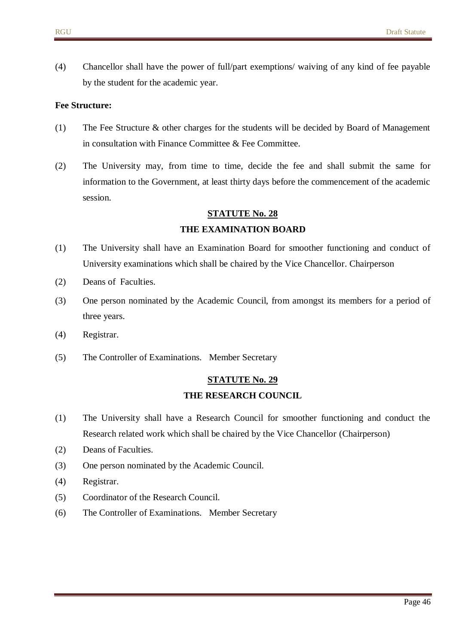(4) Chancellor shall have the power of full/part exemptions/ waiving of any kind of fee payable by the student for the academic year.

#### **Fee Structure:**

- (1) The Fee Structure & other charges for the students will be decided by Board of Management in consultation with Finance Committee & Fee Committee.
- (2) The University may, from time to time, decide the fee and shall submit the same for information to the Government, at least thirty days before the commencement of the academic session.

#### **STATUTE No. 28**

#### **THE EXAMINATION BOARD**

- (1) The University shall have an Examination Board for smoother functioning and conduct of University examinations which shall be chaired by the Vice Chancellor. Chairperson
- (2) Deans of Faculties.
- (3) One person nominated by the Academic Council, from amongst its members for a period of three years.
- (4) Registrar.
- (5) The Controller of Examinations. Member Secretary

#### **STATUTE No. 29**

#### **THE RESEARCH COUNCIL**

- (1) The University shall have a Research Council for smoother functioning and conduct the Research related work which shall be chaired by the Vice Chancellor (Chairperson)
- (2) Deans of Faculties.
- (3) One person nominated by the Academic Council.
- (4) Registrar.
- (5) Coordinator of the Research Council.
- (6) The Controller of Examinations. Member Secretary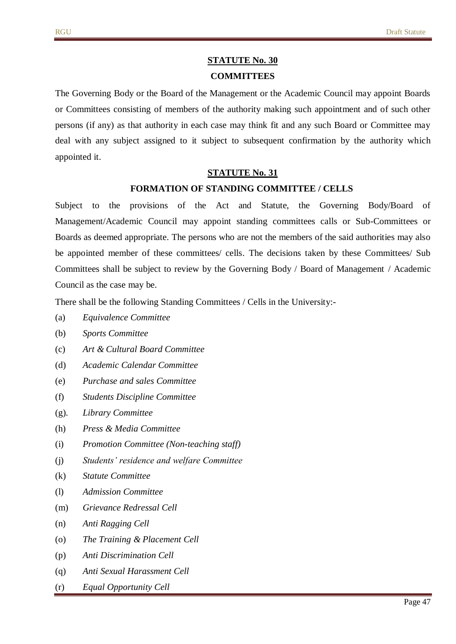### **STATUTE No. 30 COMMITTEES**

The Governing Body or the Board of the Management or the Academic Council may appoint Boards or Committees consisting of members of the authority making such appointment and of such other persons (if any) as that authority in each case may think fit and any such Board or Committee may deal with any subject assigned to it subject to subsequent confirmation by the authority which appointed it.

#### **STATUTE No. 31**

#### **FORMATION OF STANDING COMMITTEE / CELLS**

Subject to the provisions of the Act and Statute, the Governing Body/Board of Management/Academic Council may appoint standing committees calls or Sub-Committees or Boards as deemed appropriate. The persons who are not the members of the said authorities may also be appointed member of these committees/ cells. The decisions taken by these Committees/ Sub Committees shall be subject to review by the Governing Body / Board of Management / Academic Council as the case may be.

There shall be the following Standing Committees / Cells in the University:-

- (a) *Equivalence Committee*
- (b) *Sports Committee*
- (c) *Art & Cultural Board Committee*
- (d) *Academic Calendar Committee*
- (e) *Purchase and sales Committee*
- (f) *Students Discipline Committee*
- (g)*. Library Committee*
- (h) *Press & Media Committee*
- (i) *Promotion Committee (Non-teaching staff)*
- (j) *Students' residence and welfare Committee*
- (k) *Statute Committee*
- (l) *Admission Committee*
- (m) *Grievance Redressal Cell*
- (n) *Anti Ragging Cell*
- (o) *The Training & Placement Cell*
- (p) *Anti Discrimination Cell*
- (q) *Anti Sexual Harassment Cell*
- (r) *Equal Opportunity Cell*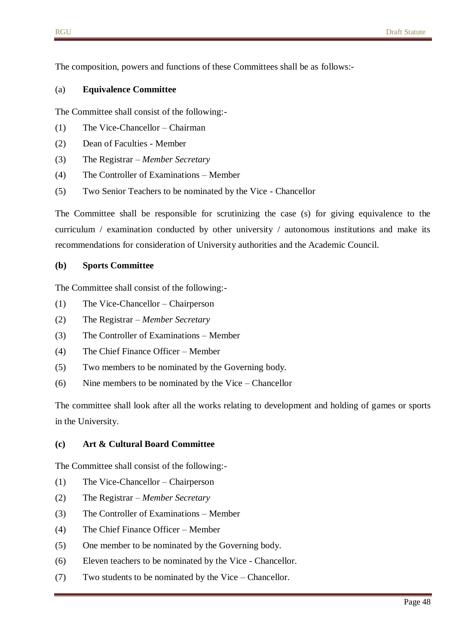The composition, powers and functions of these Committees shall be as follows:-

#### (a) **Equivalence Committee**

The Committee shall consist of the following:-

- (1) The Vice-Chancellor Chairman
- (2) Dean of Faculties Member
- (3) The Registrar *Member Secretary*
- (4) The Controller of Examinations Member
- (5) Two Senior Teachers to be nominated by the Vice Chancellor

The Committee shall be responsible for scrutinizing the case (s) for giving equivalence to the curriculum / examination conducted by other university / autonomous institutions and make its recommendations for consideration of University authorities and the Academic Council.

#### **(b) Sports Committee**

The Committee shall consist of the following:-

- (1) The Vice-Chancellor Chairperson
- (2) The Registrar *Member Secretary*
- (3) The Controller of Examinations Member
- (4) The Chief Finance Officer Member
- (5) Two members to be nominated by the Governing body.
- (6) Nine members to be nominated by the Vice Chancellor

The committee shall look after all the works relating to development and holding of games or sports in the University.

#### **(c) Art & Cultural Board Committee**

The Committee shall consist of the following:-

- (1) The Vice-Chancellor Chairperson
- (2) The Registrar *Member Secretary*
- (3) The Controller of Examinations Member
- (4) The Chief Finance Officer Member
- (5) One member to be nominated by the Governing body.
- (6) Eleven teachers to be nominated by the Vice Chancellor.
- (7) Two students to be nominated by the Vice Chancellor.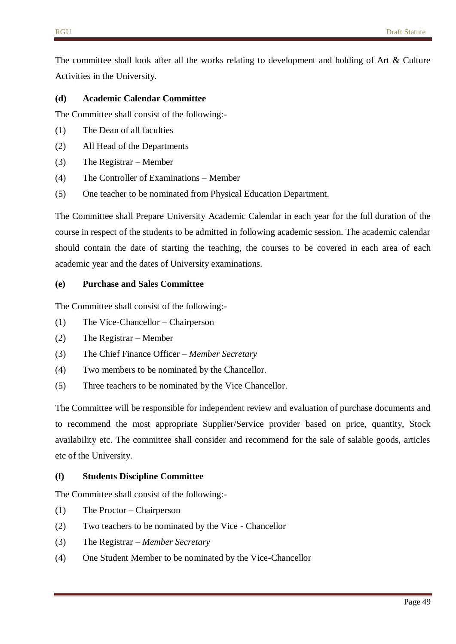The committee shall look after all the works relating to development and holding of Art & Culture Activities in the University.

#### **(d) Academic Calendar Committee**

The Committee shall consist of the following:-

- (1) The Dean of all faculties
- (2) All Head of the Departments
- (3) The Registrar Member
- (4) The Controller of Examinations Member
- (5) One teacher to be nominated from Physical Education Department.

The Committee shall Prepare University Academic Calendar in each year for the full duration of the course in respect of the students to be admitted in following academic session. The academic calendar should contain the date of starting the teaching, the courses to be covered in each area of each academic year and the dates of University examinations.

#### **(e) Purchase and Sales Committee**

The Committee shall consist of the following:-

- (1) The Vice-Chancellor Chairperson
- (2) The Registrar Member
- (3) The Chief Finance Officer *Member Secretary*
- (4) Two members to be nominated by the Chancellor.
- (5) Three teachers to be nominated by the Vice Chancellor.

The Committee will be responsible for independent review and evaluation of purchase documents and to recommend the most appropriate Supplier/Service provider based on price, quantity, Stock availability etc. The committee shall consider and recommend for the sale of salable goods, articles etc of the University.

#### **(f) Students Discipline Committee**

The Committee shall consist of the following:-

- (1) The Proctor Chairperson
- (2) Two teachers to be nominated by the Vice Chancellor
- (3) The Registrar *Member Secretary*
- (4) One Student Member to be nominated by the Vice-Chancellor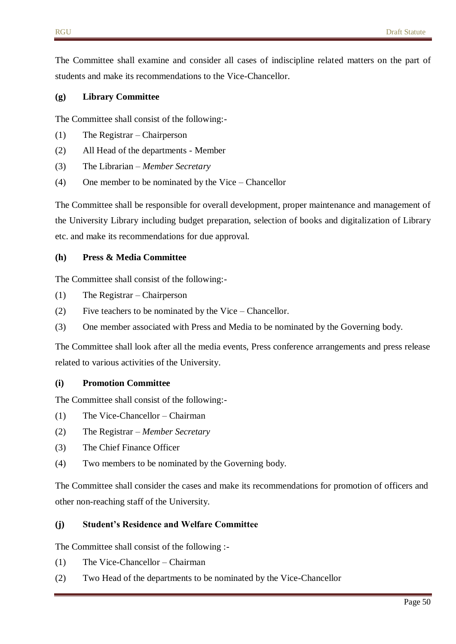The Committee shall examine and consider all cases of indiscipline related matters on the part of students and make its recommendations to the Vice-Chancellor.

#### **(g) Library Committee**

The Committee shall consist of the following:-

- (1) The Registrar Chairperson
- (2) All Head of the departments Member
- (3) The Librarian *Member Secretary*
- (4) One member to be nominated by the Vice Chancellor

The Committee shall be responsible for overall development, proper maintenance and management of the University Library including budget preparation, selection of books and digitalization of Library etc. and make its recommendations for due approval.

#### **(h) Press & Media Committee**

The Committee shall consist of the following:-

- (1) The Registrar Chairperson
- (2) Five teachers to be nominated by the Vice Chancellor.
- (3) One member associated with Press and Media to be nominated by the Governing body.

The Committee shall look after all the media events, Press conference arrangements and press release related to various activities of the University.

#### **(i) Promotion Committee**

The Committee shall consist of the following:-

- (1) The Vice-Chancellor Chairman
- (2) The Registrar *Member Secretary*
- (3) The Chief Finance Officer
- (4) Two members to be nominated by the Governing body.

The Committee shall consider the cases and make its recommendations for promotion of officers and other non-reaching staff of the University.

#### **(j) Student's Residence and Welfare Committee**

The Committee shall consist of the following :-

- (1) The Vice-Chancellor Chairman
- (2) Two Head of the departments to be nominated by the Vice-Chancellor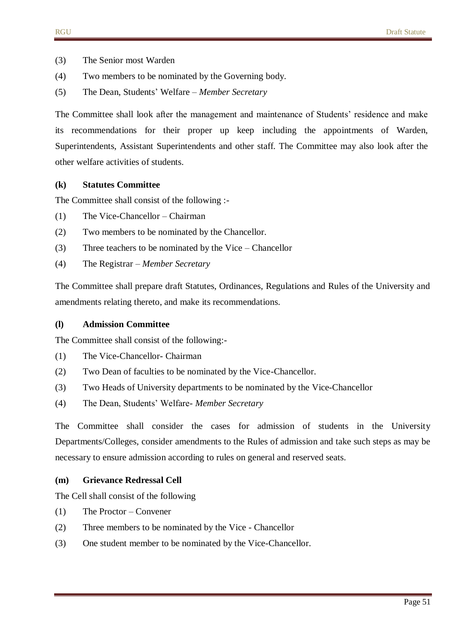- (3) The Senior most Warden
- (4) Two members to be nominated by the Governing body.
- (5) The Dean, Students' Welfare *Member Secretary*

The Committee shall look after the management and maintenance of Students' residence and make its recommendations for their proper up keep including the appointments of Warden, Superintendents, Assistant Superintendents and other staff. The Committee may also look after the other welfare activities of students.

#### **(k) Statutes Committee**

The Committee shall consist of the following :-

- (1) The Vice-Chancellor Chairman
- (2) Two members to be nominated by the Chancellor.
- (3) Three teachers to be nominated by the Vice Chancellor
- (4) The Registrar *Member Secretary*

The Committee shall prepare draft Statutes, Ordinances, Regulations and Rules of the University and amendments relating thereto, and make its recommendations.

#### **(l) Admission Committee**

The Committee shall consist of the following:-

- (1) The Vice-Chancellor- Chairman
- (2) Two Dean of faculties to be nominated by the Vice-Chancellor.
- (3) Two Heads of University departments to be nominated by the Vice-Chancellor
- (4) The Dean, Students' Welfare- *Member Secretary*

The Committee shall consider the cases for admission of students in the University Departments/Colleges, consider amendments to the Rules of admission and take such steps as may be necessary to ensure admission according to rules on general and reserved seats.

#### **(m) Grievance Redressal Cell**

The Cell shall consist of the following

- (1) The Proctor Convener
- (2) Three members to be nominated by the Vice Chancellor
- (3) One student member to be nominated by the Vice-Chancellor.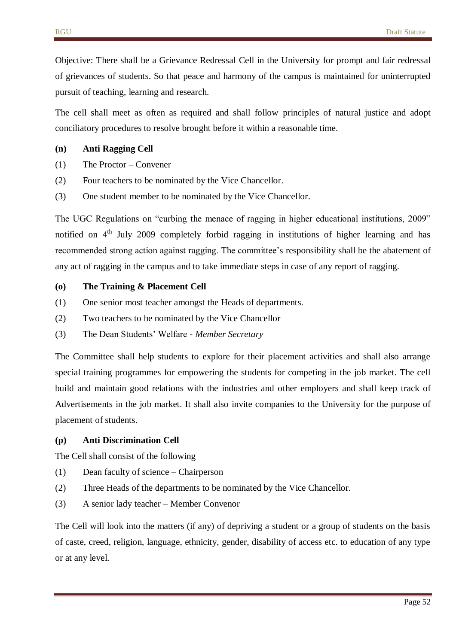Objective: There shall be a Grievance Redressal Cell in the University for prompt and fair redressal of grievances of students. So that peace and harmony of the campus is maintained for uninterrupted pursuit of teaching, learning and research.

The cell shall meet as often as required and shall follow principles of natural justice and adopt conciliatory procedures to resolve brought before it within a reasonable time.

#### **(n) Anti Ragging Cell**

- (1) The Proctor Convener
- (2) Four teachers to be nominated by the Vice Chancellor.
- (3) One student member to be nominated by the Vice Chancellor.

The UGC Regulations on "curbing the menace of ragging in higher educational institutions, 2009" notified on  $4<sup>th</sup>$  July 2009 completely forbid ragging in institutions of higher learning and has recommended strong action against ragging. The committee's responsibility shall be the abatement of any act of ragging in the campus and to take immediate steps in case of any report of ragging.

#### **(o) The Training & Placement Cell**

- (1) One senior most teacher amongst the Heads of departments.
- (2) Two teachers to be nominated by the Vice Chancellor
- (3) The Dean Students' Welfare *Member Secretary*

The Committee shall help students to explore for their placement activities and shall also arrange special training programmes for empowering the students for competing in the job market. The cell build and maintain good relations with the industries and other employers and shall keep track of Advertisements in the job market. It shall also invite companies to the University for the purpose of placement of students.

#### **(p) Anti Discrimination Cell**

The Cell shall consist of the following

- (1) Dean faculty of science Chairperson
- (2) Three Heads of the departments to be nominated by the Vice Chancellor.
- (3) A senior lady teacher Member Convenor

The Cell will look into the matters (if any) of depriving a student or a group of students on the basis of caste, creed, religion, language, ethnicity, gender, disability of access etc. to education of any type or at any level.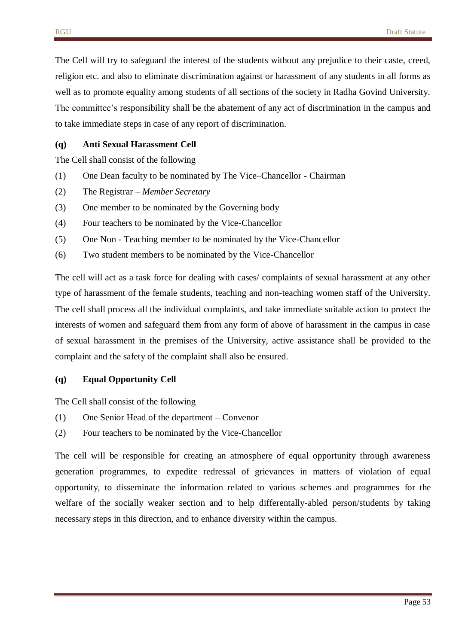The Cell will try to safeguard the interest of the students without any prejudice to their caste, creed, religion etc. and also to eliminate discrimination against or harassment of any students in all forms as well as to promote equality among students of all sections of the society in Radha Govind University. The committee's responsibility shall be the abatement of any act of discrimination in the campus and to take immediate steps in case of any report of discrimination.

#### **(q) Anti Sexual Harassment Cell**

The Cell shall consist of the following

- (1) One Dean faculty to be nominated by The Vice–Chancellor Chairman
- (2) The Registrar *Member Secretary*
- (3) One member to be nominated by the Governing body
- (4) Four teachers to be nominated by the Vice-Chancellor
- (5) One Non Teaching member to be nominated by the Vice-Chancellor
- (6) Two student members to be nominated by the Vice-Chancellor

The cell will act as a task force for dealing with cases/ complaints of sexual harassment at any other type of harassment of the female students, teaching and non-teaching women staff of the University. The cell shall process all the individual complaints, and take immediate suitable action to protect the interests of women and safeguard them from any form of above of harassment in the campus in case of sexual harassment in the premises of the University, active assistance shall be provided to the complaint and the safety of the complaint shall also be ensured.

#### **(q) Equal Opportunity Cell**

The Cell shall consist of the following

- (1) One Senior Head of the department Convenor
- (2) Four teachers to be nominated by the Vice-Chancellor

The cell will be responsible for creating an atmosphere of equal opportunity through awareness generation programmes, to expedite redressal of grievances in matters of violation of equal opportunity, to disseminate the information related to various schemes and programmes for the welfare of the socially weaker section and to help differentally-abled person/students by taking necessary steps in this direction, and to enhance diversity within the campus.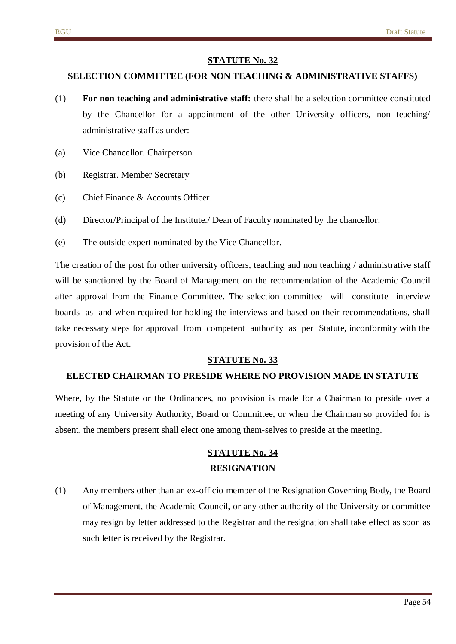#### **SELECTION COMMITTEE (FOR NON TEACHING & ADMINISTRATIVE STAFFS)**

- (1) **For non teaching and administrative staff:** there shall be a selection committee constituted by the Chancellor for a appointment of the other University officers, non teaching/ administrative staff as under:
- (a) Vice Chancellor. Chairperson
- (b) Registrar. Member Secretary
- (c) Chief Finance & Accounts Officer.
- (d) Director/Principal of the Institute./ Dean of Faculty nominated by the chancellor.
- (e) The outside expert nominated by the Vice Chancellor.

The creation of the post for other university officers, teaching and non teaching / administrative staff will be sanctioned by the Board of Management on the recommendation of the Academic Council after approval from the Finance Committee. The selection committee will constitute interview boards as and when required for holding the interviews and based on their recommendations, shall take necessary steps for approval from competent authority as per Statute, inconformity with the provision of the Act.

#### **STATUTE No. 33**

#### **ELECTED CHAIRMAN TO PRESIDE WHERE NO PROVISION MADE IN STATUTE**

Where, by the Statute or the Ordinances, no provision is made for a Chairman to preside over a meeting of any University Authority, Board or Committee, or when the Chairman so provided for is absent, the members present shall elect one among them-selves to preside at the meeting.

# **STATUTE No. 34 RESIGNATION**

(1) Any members other than an ex-officio member of the Resignation Governing Body, the Board of Management, the Academic Council, or any other authority of the University or committee may resign by letter addressed to the Registrar and the resignation shall take effect as soon as such letter is received by the Registrar.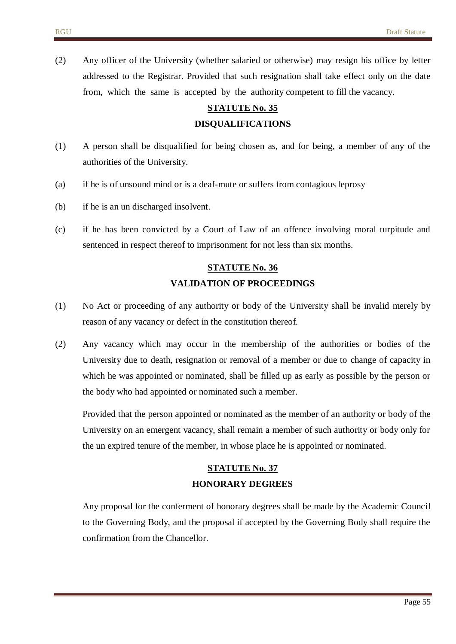(2) Any officer of the University (whether salaried or otherwise) may resign his office by letter addressed to the Registrar. Provided that such resignation shall take effect only on the date from, which the same is accepted by the authority competent to fill the vacancy.

# **STATUTE No. 35 DISQUALIFICATIONS**

- (1) A person shall be disqualified for being chosen as, and for being, a member of any of the authorities of the University.
- (a) if he is of unsound mind or is a deaf-mute or suffers from contagious leprosy
- (b) if he is an un discharged insolvent.
- (c) if he has been convicted by a Court of Law of an offence involving moral turpitude and sentenced in respect thereof to imprisonment for not less than six months.

# **STATUTE No. 36 VALIDATION OF PROCEEDINGS**

- (1) No Act or proceeding of any authority or body of the University shall be invalid merely by reason of any vacancy or defect in the constitution thereof.
- (2) Any vacancy which may occur in the membership of the authorities or bodies of the University due to death, resignation or removal of a member or due to change of capacity in which he was appointed or nominated, shall be filled up as early as possible by the person or the body who had appointed or nominated such a member.

Provided that the person appointed or nominated as the member of an authority or body of the University on an emergent vacancy, shall remain a member of such authority or body only for the un expired tenure of the member, in whose place he is appointed or nominated.

### **STATUTE No. 37 HONORARY DEGREES**

Any proposal for the conferment of honorary degrees shall be made by the Academic Council to the Governing Body, and the proposal if accepted by the Governing Body shall require the confirmation from the Chancellor.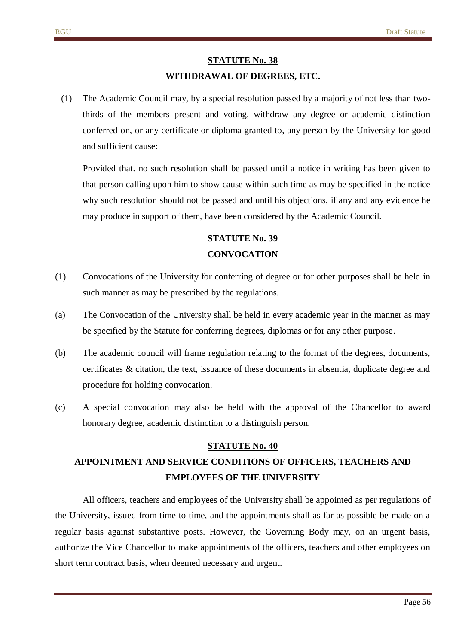#### **WITHDRAWAL OF DEGREES, ETC.**

(1) The Academic Council may, by a special resolution passed by a majority of not less than twothirds of the members present and voting, withdraw any degree or academic distinction conferred on, or any certificate or diploma granted to, any person by the University for good and sufficient cause:

Provided that. no such resolution shall be passed until a notice in writing has been given to that person calling upon him to show cause within such time as may be specified in the notice why such resolution should not be passed and until his objections, if any and any evidence he may produce in support of them, have been considered by the Academic Council.

# **STATUTE No. 39 CONVOCATION**

- (1) Convocations of the University for conferring of degree or for other purposes shall be held in such manner as may be prescribed by the regulations.
- (a) The Convocation of the University shall be held in every academic year in the manner as may be specified by the Statute for conferring degrees, diplomas or for any other purpose.
- (b) The academic council will frame regulation relating to the format of the degrees, documents, certificates & citation, the text, issuance of these documents in absentia, duplicate degree and procedure for holding convocation.
- (c) A special convocation may also be held with the approval of the Chancellor to award honorary degree, academic distinction to a distinguish person.

#### **STATUTE No. 40**

# **APPOINTMENT AND SERVICE CONDITIONS OF OFFICERS, TEACHERS AND EMPLOYEES OF THE UNIVERSITY**

All officers, teachers and employees of the University shall be appointed as per regulations of the University, issued from time to time, and the appointments shall as far as possible be made on a regular basis against substantive posts. However, the Governing Body may, on an urgent basis, authorize the Vice Chancellor to make appointments of the officers, teachers and other employees on short term contract basis, when deemed necessary and urgent.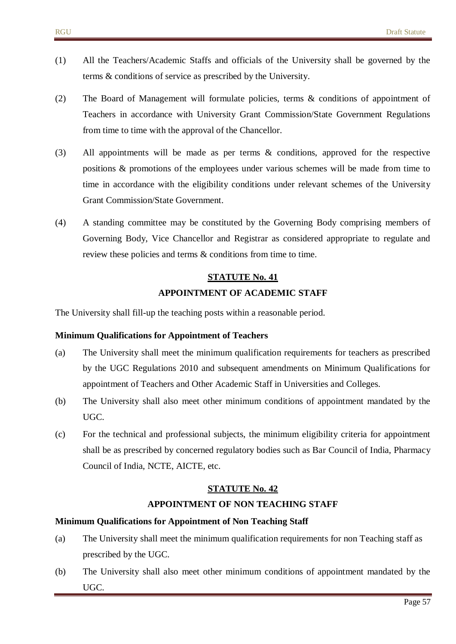- (1) All the Teachers/Academic Staffs and officials of the University shall be governed by the terms & conditions of service as prescribed by the University.
- (2) The Board of Management will formulate policies, terms & conditions of appointment of Teachers in accordance with University Grant Commission/State Government Regulations from time to time with the approval of the Chancellor.
- (3) All appointments will be made as per terms & conditions, approved for the respective positions & promotions of the employees under various schemes will be made from time to time in accordance with the eligibility conditions under relevant schemes of the University Grant Commission/State Government.
- (4) A standing committee may be constituted by the Governing Body comprising members of Governing Body, Vice Chancellor and Registrar as considered appropriate to regulate and review these policies and terms & conditions from time to time.

# **STATUTE No. 41 APPOINTMENT OF ACADEMIC STAFF**

The University shall fill-up the teaching posts within a reasonable period.

#### **Minimum Qualifications for Appointment of Teachers**

- (a) The University shall meet the minimum qualification requirements for teachers as prescribed by the UGC Regulations 2010 and subsequent amendments on Minimum Qualifications for appointment of Teachers and Other Academic Staff in Universities and Colleges.
- (b) The University shall also meet other minimum conditions of appointment mandated by the UGC.
- (c) For the technical and professional subjects, the minimum eligibility criteria for appointment shall be as prescribed by concerned regulatory bodies such as Bar Council of India, Pharmacy Council of India, NCTE, AICTE, etc.

#### **STATUTE No. 42**

#### **APPOINTMENT OF NON TEACHING STAFF**

#### **Minimum Qualifications for Appointment of Non Teaching Staff**

- (a) The University shall meet the minimum qualification requirements for non Teaching staff as prescribed by the UGC.
- (b) The University shall also meet other minimum conditions of appointment mandated by the UGC.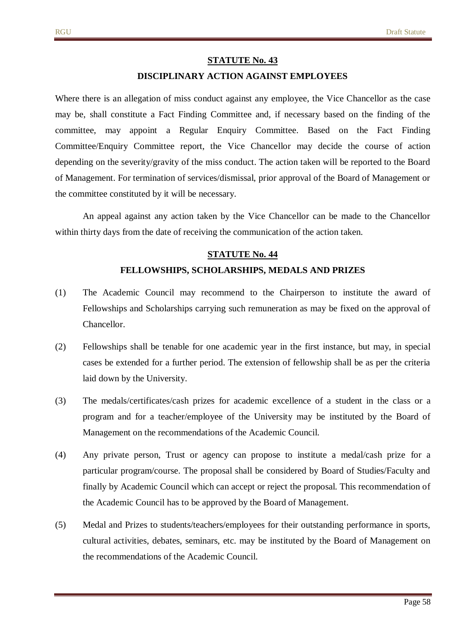#### **DISCIPLINARY ACTION AGAINST EMPLOYEES**

Where there is an allegation of miss conduct against any employee, the Vice Chancellor as the case may be, shall constitute a Fact Finding Committee and, if necessary based on the finding of the committee, may appoint a Regular Enquiry Committee. Based on the Fact Finding Committee/Enquiry Committee report, the Vice Chancellor may decide the course of action depending on the severity/gravity of the miss conduct. The action taken will be reported to the Board of Management. For termination of services/dismissal, prior approval of the Board of Management or the committee constituted by it will be necessary.

An appeal against any action taken by the Vice Chancellor can be made to the Chancellor within thirty days from the date of receiving the communication of the action taken.

# **STATUTE No. 44 FELLOWSHIPS, SCHOLARSHIPS, MEDALS AND PRIZES**

- (1) The Academic Council may recommend to the Chairperson to institute the award of Fellowships and Scholarships carrying such remuneration as may be fixed on the approval of Chancellor.
- (2) Fellowships shall be tenable for one academic year in the first instance, but may, in special cases be extended for a further period. The extension of fellowship shall be as per the criteria laid down by the University.
- (3) The medals/certificates/cash prizes for academic excellence of a student in the class or a program and for a teacher/employee of the University may be instituted by the Board of Management on the recommendations of the Academic Council.
- (4) Any private person, Trust or agency can propose to institute a medal/cash prize for a particular program/course. The proposal shall be considered by Board of Studies/Faculty and finally by Academic Council which can accept or reject the proposal. This recommendation of the Academic Council has to be approved by the Board of Management.
- (5) Medal and Prizes to students/teachers/employees for their outstanding performance in sports, cultural activities, debates, seminars, etc. may be instituted by the Board of Management on the recommendations of the Academic Council.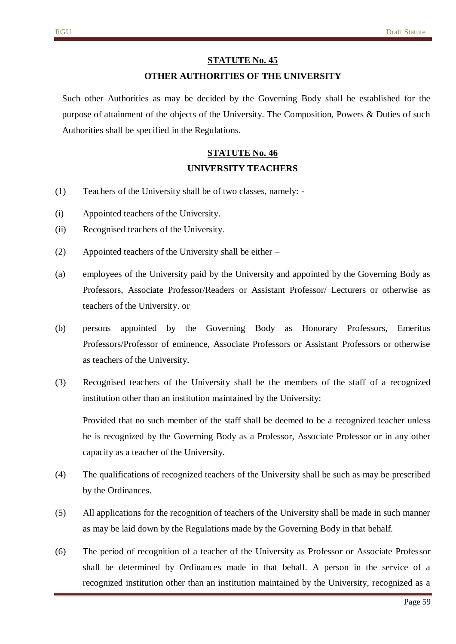## **STATUTE No. 45 OTHER AUTHORITIES OF THE UNIVERSITY**

Such other Authorities as may be decided by the Governing Body shall be established for the purpose of attainment of the objects of the University. The Composition, Powers & Duties of such Authorities shall be specified in the Regulations.

# **STATUTE No. 46 UNIVERSITY TEACHERS**

- (1) Teachers of the University shall be of two classes, namely: -
- (i) Appointed teachers of the University.
- (ii) Recognised teachers of the University.
- (2) Appointed teachers of the University shall be either –
- (a) employees of the University paid by the University and appointed by the Governing Body as Professors, Associate Professor/Readers or Assistant Professor/ Lecturers or otherwise as teachers of the University. or
- (b) persons appointed by the Governing Body as Honorary Professors, Emeritus Professors/Professor of eminence, Associate Professors or Assistant Professors or otherwise as teachers of the University.
- (3) Recognised teachers of the University shall be the members of the staff of a recognized institution other than an institution maintained by the University:

Provided that no such member of the staff shall be deemed to be a recognized teacher unless he is recognized by the Governing Body as a Professor, Associate Professor or in any other capacity as a teacher of the University.

- (4) The qualifications of recognized teachers of the University shall be such as may be prescribed by the Ordinances.
- (5) All applications for the recognition of teachers of the University shall be made in such manner as may be laid down by the Regulations made by the Governing Body in that behalf.
- (6) The period of recognition of a teacher of the University as Professor or Associate Professor shall be determined by Ordinances made in that behalf. A person in the service of a recognized institution other than an institution maintained by the University, recognized as a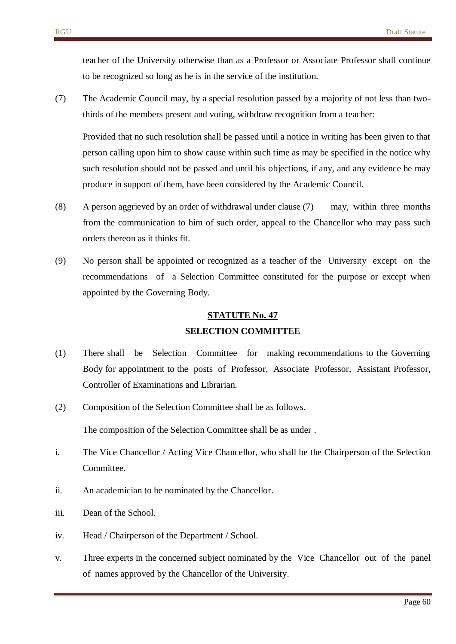teacher of the University otherwise than as a Professor or Associate Professor shall continue to be recognized so long as he is in the service of the institution.

(7) The Academic Council may, by a special resolution passed by a majority of not less than twothirds of the members present and voting, withdraw recognition from a teacher:

Provided that no such resolution shall be passed until a notice in writing has been given to that person calling upon him to show cause within such time as may be specified in the notice why such resolution should not be passed and until his objections, if any, and any evidence he may produce in support of them, have been considered by the Academic Council.

- (8) A person aggrieved by an order of withdrawal under clause (7) may, within three months from the communication to him of such order, appeal to the Chancellor who may pass such orders thereon as it thinks fit.
- (9) No person shall be appointed or recognized as a teacher of the University except on the recommendations of a Selection Committee constituted for the purpose or except when appointed by the Governing Body.

# **STATUTE No. 47 SELECTION COMMITTEE**

- (1) There shall be Selection Committee for making recommendations to the Governing Body for appointment to the posts of Professor, Associate Professor, Assistant Professor, Controller of Examinations and Librarian.
- (2) Composition of the Selection Committee shall be as follows.

The composition of the Selection Committee shall be as under .

- i. The Vice Chancellor / Acting Vice Chancellor, who shall be the Chairperson of the Selection Committee.
- ii. An academician to be nominated by the Chancellor.
- iii. Dean of the School.
- iv. Head / Chairperson of the Department / School.
- v. Three experts in the concerned subject nominated by the Vice Chancellor out of the panel of names approved by the Chancellor of the University.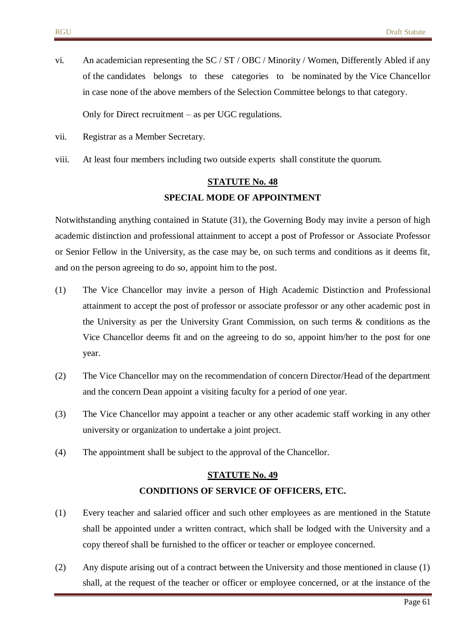vi. An academician representing the SC / ST / OBC / Minority / Women, Differently Abled if any of the candidates belongs to these categories to be nominated by the Vice Chancellor in case none of the above members of the Selection Committee belongs to that category.

Only for Direct recruitment – as per UGC regulations.

- vii. Registrar as a Member Secretary.
- viii. At least four members including two outside experts shall constitute the quorum.

# **STATUTE No. 48 SPECIAL MODE OF APPOINTMENT**

Notwithstanding anything contained in Statute (31), the Governing Body may invite a person of high academic distinction and professional attainment to accept a post of Professor or Associate Professor or Senior Fellow in the University, as the case may be, on such terms and conditions as it deems fit, and on the person agreeing to do so, appoint him to the post.

- (1) The Vice Chancellor may invite a person of High Academic Distinction and Professional attainment to accept the post of professor or associate professor or any other academic post in the University as per the University Grant Commission, on such terms & conditions as the Vice Chancellor deems fit and on the agreeing to do so, appoint him/her to the post for one year.
- (2) The Vice Chancellor may on the recommendation of concern Director/Head of the department and the concern Dean appoint a visiting faculty for a period of one year.
- (3) The Vice Chancellor may appoint a teacher or any other academic staff working in any other university or organization to undertake a joint project.
- (4) The appointment shall be subject to the approval of the Chancellor.

# **STATUTE No. 49 CONDITIONS OF SERVICE OF OFFICERS, ETC.**

- (1) Every teacher and salaried officer and such other employees as are mentioned in the Statute shall be appointed under a written contract, which shall be lodged with the University and a copy thereof shall be furnished to the officer or teacher or employee concerned.
- (2) Any dispute arising out of a contract between the University and those mentioned in clause (1) shall, at the request of the teacher or officer or employee concerned, or at the instance of the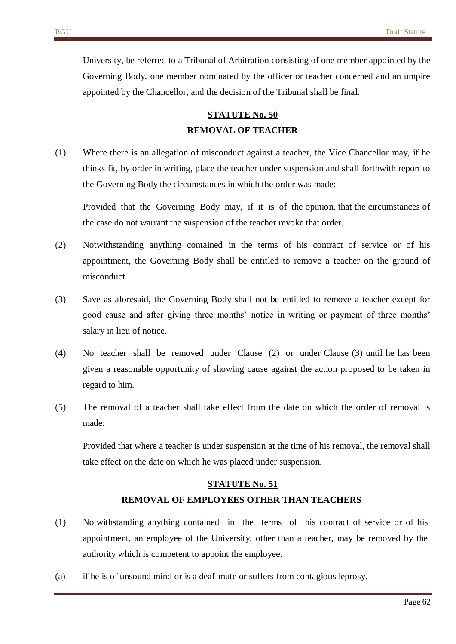University, be referred to a Tribunal of Arbitration consisting of one member appointed by the Governing Body, one member nominated by the officer or teacher concerned and an umpire appointed by the Chancellor, and the decision of the Tribunal shall be final.

# **STATUTE No. 50 REMOVAL OF TEACHER**

(1) Where there is an allegation of misconduct against a teacher, the Vice Chancellor may, if he thinks fit, by order in writing, place the teacher under suspension and shall forthwith report to the Governing Body the circumstances in which the order was made:

Provided that the Governing Body may, if it is of the opinion, that the circumstances of the case do not warrant the suspension of the teacher revoke that order.

- (2) Notwithstanding anything contained in the terms of his contract of service or of his appointment, the Governing Body shall be entitled to remove a teacher on the ground of misconduct.
- (3) Save as aforesaid, the Governing Body shall not be entitled to remove a teacher except for good cause and after giving three months' notice in writing or payment of three months' salary in lieu of notice.
- (4) No teacher shall be removed under Clause (2) or under Clause (3) until he has been given a reasonable opportunity of showing cause against the action proposed to be taken in regard to him.
- (5) The removal of a teacher shall take effect from the date on which the order of removal is made:

Provided that where a teacher is under suspension at the time of his removal, the removal shall take effect on the date on which he was placed under suspension.

# **STATUTE No. 51 REMOVAL OF EMPLOYEES OTHER THAN TEACHERS**

- (1) Notwithstanding anything contained in the terms of his contract of service or of his appointment, an employee of the University, other than a teacher, may be removed by the authority which is competent to appoint the employee.
- (a) if he is of unsound mind or is a deaf-mute or suffers from contagious leprosy.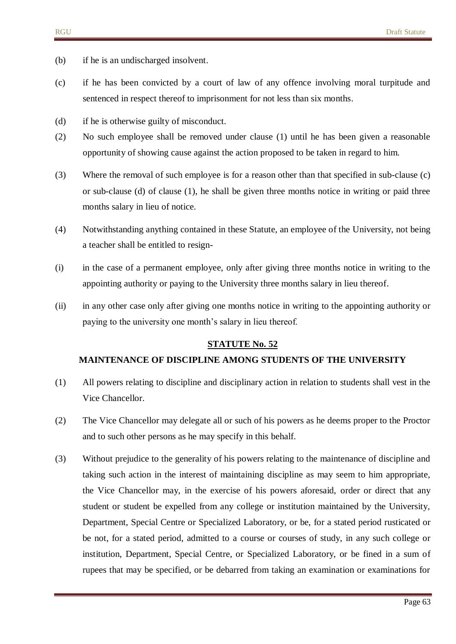- (b) if he is an undischarged insolvent.
- (c) if he has been convicted by a court of law of any offence involving moral turpitude and sentenced in respect thereof to imprisonment for not less than six months.
- (d) if he is otherwise guilty of misconduct.
- (2) No such employee shall be removed under clause (1) until he has been given a reasonable opportunity of showing cause against the action proposed to be taken in regard to him.
- (3) Where the removal of such employee is for a reason other than that specified in sub-clause (c) or sub-clause (d) of clause (1), he shall be given three months notice in writing or paid three months salary in lieu of notice.
- (4) Notwithstanding anything contained in these Statute, an employee of the University, not being a teacher shall be entitled to resign-
- (i) in the case of a permanent employee, only after giving three months notice in writing to the appointing authority or paying to the University three months salary in lieu thereof.
- (ii) in any other case only after giving one months notice in writing to the appointing authority or paying to the university one month's salary in lieu thereof.

#### **MAINTENANCE OF DISCIPLINE AMONG STUDENTS OF THE UNIVERSITY**

- (1) All powers relating to discipline and disciplinary action in relation to students shall vest in the Vice Chancellor.
- (2) The Vice Chancellor may delegate all or such of his powers as he deems proper to the Proctor and to such other persons as he may specify in this behalf.
- (3) Without prejudice to the generality of his powers relating to the maintenance of discipline and taking such action in the interest of maintaining discipline as may seem to him appropriate, the Vice Chancellor may, in the exercise of his powers aforesaid, order or direct that any student or student be expelled from any college or institution maintained by the University, Department, Special Centre or Specialized Laboratory, or be, for a stated period rusticated or be not, for a stated period, admitted to a course or courses of study, in any such college or institution, Department, Special Centre, or Specialized Laboratory, or be fined in a sum of rupees that may be specified, or be debarred from taking an examination or examinations for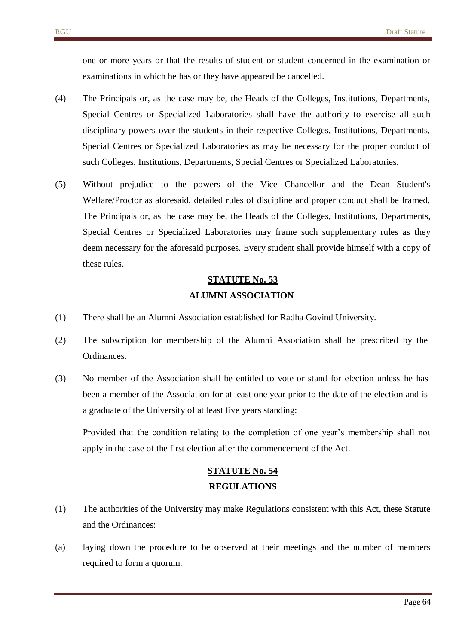one or more years or that the results of student or student concerned in the examination or examinations in which he has or they have appeared be cancelled.

- (4) The Principals or, as the case may be, the Heads of the Colleges, Institutions, Departments, Special Centres or Specialized Laboratories shall have the authority to exercise all such disciplinary powers over the students in their respective Colleges, Institutions, Departments, Special Centres or Specialized Laboratories as may be necessary for the proper conduct of such Colleges, Institutions, Departments, Special Centres or Specialized Laboratories.
- (5) Without prejudice to the powers of the Vice Chancellor and the Dean Student's Welfare/Proctor as aforesaid, detailed rules of discipline and proper conduct shall be framed. The Principals or, as the case may be, the Heads of the Colleges, Institutions, Departments, Special Centres or Specialized Laboratories may frame such supplementary rules as they deem necessary for the aforesaid purposes. Every student shall provide himself with a copy of these rules.

# **STATUTE No. 53 ALUMNI ASSOCIATION**

- (1) There shall be an Alumni Association established for Radha Govind University.
- (2) The subscription for membership of the Alumni Association shall be prescribed by the Ordinances.
- (3) No member of the Association shall be entitled to vote or stand for election unless he has been a member of the Association for at least one year prior to the date of the election and is a graduate of the University of at least five years standing:

Provided that the condition relating to the completion of one year's membership shall not apply in the case of the first election after the commencement of the Act.

# **STATUTE No. 54 REGULATIONS**

- (1) The authorities of the University may make Regulations consistent with this Act, these Statute and the Ordinances:
- (a) laying down the procedure to be observed at their meetings and the number of members required to form a quorum.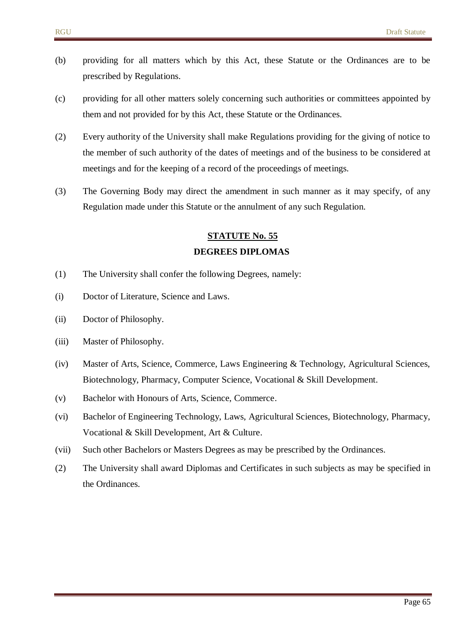- (b) providing for all matters which by this Act, these Statute or the Ordinances are to be prescribed by Regulations.
- (c) providing for all other matters solely concerning such authorities or committees appointed by them and not provided for by this Act, these Statute or the Ordinances.
- (2) Every authority of the University shall make Regulations providing for the giving of notice to the member of such authority of the dates of meetings and of the business to be considered at meetings and for the keeping of a record of the proceedings of meetings.
- (3) The Governing Body may direct the amendment in such manner as it may specify, of any Regulation made under this Statute or the annulment of any such Regulation.

# **STATUTE No. 55 DEGREES DIPLOMAS**

- (1) The University shall confer the following Degrees, namely:
- (i) Doctor of Literature, Science and Laws.
- (ii) Doctor of Philosophy.
- (iii) Master of Philosophy.
- (iv) Master of Arts, Science, Commerce, Laws Engineering & Technology, Agricultural Sciences, Biotechnology, Pharmacy, Computer Science, Vocational & Skill Development.
- (v) Bachelor with Honours of Arts, Science, Commerce.
- (vi) Bachelor of Engineering Technology, Laws, Agricultural Sciences, Biotechnology, Pharmacy, Vocational & Skill Development, Art & Culture.
- (vii) Such other Bachelors or Masters Degrees as may be prescribed by the Ordinances.
- (2) The University shall award Diplomas and Certificates in such subjects as may be specified in the Ordinances.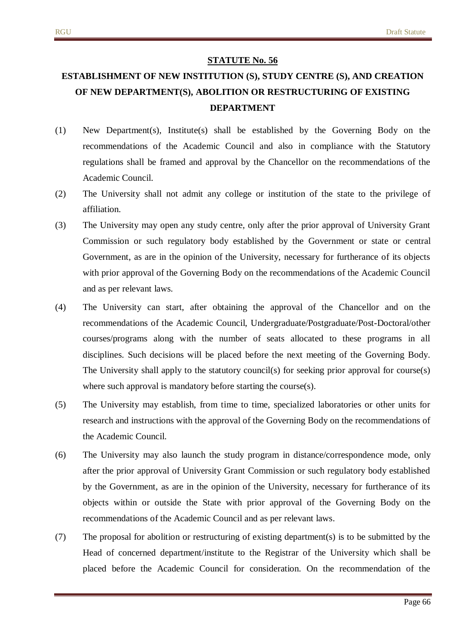# **ESTABLISHMENT OF NEW INSTITUTION (S), STUDY CENTRE (S), AND CREATION OF NEW DEPARTMENT(S), ABOLITION OR RESTRUCTURING OF EXISTING DEPARTMENT**

- (1) New Department(s), Institute(s) shall be established by the Governing Body on the recommendations of the Academic Council and also in compliance with the Statutory regulations shall be framed and approval by the Chancellor on the recommendations of the Academic Council.
- (2) The University shall not admit any college or institution of the state to the privilege of affiliation.
- (3) The University may open any study centre, only after the prior approval of University Grant Commission or such regulatory body established by the Government or state or central Government, as are in the opinion of the University, necessary for furtherance of its objects with prior approval of the Governing Body on the recommendations of the Academic Council and as per relevant laws.
- (4) The University can start, after obtaining the approval of the Chancellor and on the recommendations of the Academic Council, Undergraduate/Postgraduate/Post-Doctoral/other courses/programs along with the number of seats allocated to these programs in all disciplines. Such decisions will be placed before the next meeting of the Governing Body. The University shall apply to the statutory council(s) for seeking prior approval for course(s) where such approval is mandatory before starting the course(s).
- (5) The University may establish, from time to time, specialized laboratories or other units for research and instructions with the approval of the Governing Body on the recommendations of the Academic Council.
- (6) The University may also launch the study program in distance/correspondence mode, only after the prior approval of University Grant Commission or such regulatory body established by the Government, as are in the opinion of the University, necessary for furtherance of its objects within or outside the State with prior approval of the Governing Body on the recommendations of the Academic Council and as per relevant laws.
- (7) The proposal for abolition or restructuring of existing department(s) is to be submitted by the Head of concerned department/institute to the Registrar of the University which shall be placed before the Academic Council for consideration. On the recommendation of the